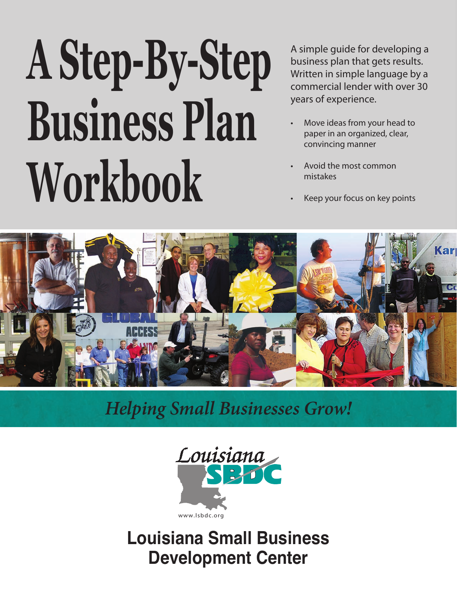# **A Step-By-Step Business Plan Workbook**

A simple guide for developing a business plan that gets results. Written in simple language by a commercial lender with over 30 years of experience.

- Move ideas from your head to paper in an organized, clear, convincing manner
- Avoid the most common mistakes
- Keep your focus on key points



### *Helping Small Businesses Grow!*



**Louisiana Small Business Development Center**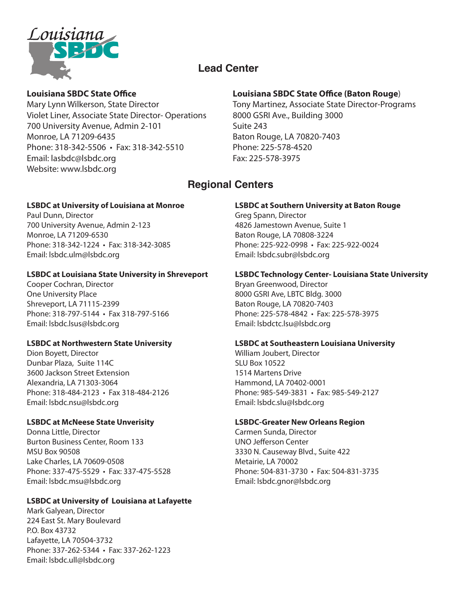

### **Lead Center**

#### **Louisiana SBDC State Office**

Mary Lynn Wilkerson, State Director Violet Liner, Associate State Director- Operations 700 University Avenue, Admin 2-101 Monroe, LA 71209-6435 Phone: 318-342-5506 • Fax: 318-342-5510 Email: lasbdc@lsbdc.org Website: www.lsbdc.org

#### **LSBDC at University of Louisiana at Monroe**

Paul Dunn, Director 700 University Avenue, Admin 2-123 Monroe, LA 71209-6530 Phone: 318-342-1224 • Fax: 318-342-3085 Email: lsbdc.ulm@lsbdc.org

#### **LSBDC at Louisiana State University in Shreveport**

Cooper Cochran, Director One University Place Shreveport, LA 71115-2399 Phone: 318-797-5144 • Fax 318-797-5166 Email: lsbdc.lsus@lsbdc.org

#### **LSBDC at Northwestern State University**

Dion Boyett, Director Dunbar Plaza, Suite 114C 3600 Jackson Street Extension Alexandria, LA 71303-3064 Phone: 318-484-2123 • Fax 318-484-2126 Email: lsbdc.nsu@lsbdc.org

#### **LSBDC at McNeese State Unverisity**

Donna Little, Director Burton Business Center, Room 133 MSU Box 90508 Lake Charles, LA 70609-0508 Phone: 337-475-5529 • Fax: 337-475-5528 Email: lsbdc.msu@lsbdc.org

#### **LSBDC at University of Louisiana at Lafayette**

Mark Galyean, Director 224 East St. Mary Boulevard P.O. Box 43732 Lafayette, LA 70504-3732 Phone: 337-262-5344 • Fax: 337-262-1223 Email: lsbdc.ull@lsbdc.org

#### **Louisiana SBDC State Office (Baton Rouge**)

Tony Martinez, Associate State Director-Programs 8000 GSRI Ave., Building 3000 Suite 243 Baton Rouge, LA 70820-7403 Phone: 225-578-4520 Fax: 225-578-3975

### **Regional Centers**

#### **LSBDC at Southern University at Baton Rouge**

Greg Spann, Director 4826 Jamestown Avenue, Suite 1 Baton Rouge, LA 70808-3224 Phone: 225-922-0998 • Fax: 225-922-0024 Email: lsbdc.subr@lsbdc.org

#### **LSBDC Technology Center- Louisiana State University**

Bryan Greenwood, Director 8000 GSRI Ave, LBTC Bldg. 3000 Baton Rouge, LA 70820-7403 Phone: 225-578-4842 • Fax: 225-578-3975 Email: lsbdctc.lsu@lsbdc.org

#### **LSBDC at Southeastern Louisiana University**

William Joubert, Director SLU Box 10522 1514 Martens Drive Hammond, LA 70402-0001 Phone: 985-549-3831 • Fax: 985-549-2127 Email: lsbdc.slu@lsbdc.org

#### **LSBDC-Greater New Orleans Region**

Carmen Sunda, Director UNO Jefferson Center 3330 N. Causeway Blvd., Suite 422 Metairie, LA 70002 Phone: 504-831-3730 • Fax: 504-831-3735 Email: lsbdc.gnor@lsbdc.org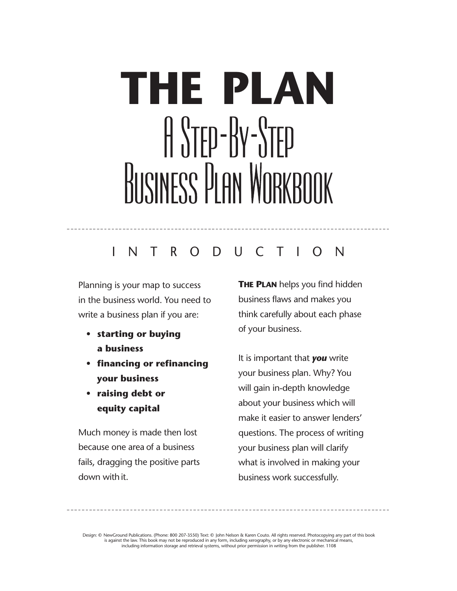# **THE PLAN** A STEP-BY-STEP BUSINESS PLAN WORKBOOK

### I N T R O D U C T I O N

Planning is your map to success in the business world. You need to write a business plan if you are:

- **• starting or buying a business**
- **• financing or refinancing your business**
- **• raising debt or equity capital**

Much money is made then lost because one area of a business fails, dragging the positive parts down with it.

**THE PLAN** helps you find hidden business flaws and makes you think carefully about each phase of your business.

It is important that *you* write your business plan. Why? You will gain in-depth knowledge about your business which will make it easier to answer lenders' questions. The process of writing your business plan will clarify what is involved in making your business work successfully.

Design: © NewGround Publications. (Phone: 800 207-3550) Text: © John Nelson & Karen Couto. All rights reserved. Photocopying any part of this book is against the law. This book may not be reproduced in any form, including xerography, or by any electronic or mechanical means,<br>including information storage and retrieval systems, without prior permission in writing from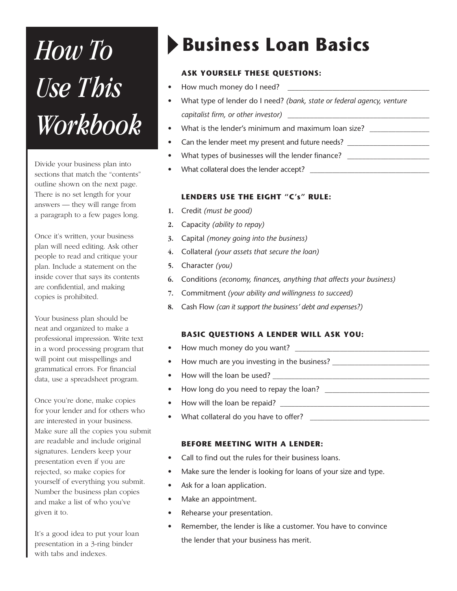# *Use This Workbook*

Divide your business plan into sections that match the "contents" outline shown on the next page. There is no set length for your answers — they will range from a paragraph to a few pages long.

Once it's written, your business plan will need editing. Ask other people to read and critique your plan. Include a statement on the inside cover that says its contents are confidential, and making copies is prohibited.

Your business plan should be neat and organized to make a professional impression. Write text in a word processing program that will point out misspellings and grammatical errors. For financial data, use a spreadsheet program.

Once you're done, make copies for your lender and for others who are interested in your business. Make sure all the copies you submit are readable and include original signatures. Lenders keep your presentation even if you are rejected, so make copies for yourself of everything you submit. Number the business plan copies and make a list of who you've given it to.

It's a good idea to put your loan presentation in a 3-ring binder with tabs and indexes.

# **Business Loan Basics** *How To*

#### **ASK YOURSELF THESE QUESTIONS:**

- How much money do I need?
- What type of lender do I need? *(bank, state or federal agency, venture capitalist firm, or other investor)* \_\_\_\_\_\_\_\_\_\_\_\_\_\_\_\_\_\_\_\_\_\_\_\_\_\_\_\_\_\_\_\_\_\_\_\_\_\_
- What is the lender's minimum and maximum loan size?
- Can the lender meet my present and future needs?
- What types of businesses will the lender finance? \_\_\_\_\_\_\_\_\_\_\_\_\_\_\_\_\_\_\_\_\_\_\_\_\_\_\_\_\_\_
- What collateral does the lender accept? \_\_\_\_\_\_\_\_\_\_\_\_\_\_\_\_\_\_\_\_\_\_\_\_\_\_\_\_\_\_\_\_

#### **LENDERS USE THE EIGHT "C's" RULE:**

- **1.** Credit *(must be good)*
- **2.** Capacity *(ability to repay)*
- **3.** Capital *(money going into the business)*
- **4.** Collateral *(your assets that secure the loan)*
- **5.** Character *(you)*
- **6.** Conditions *(economy, finances, anything that affects your business)*
- **7.** Commitment *(your ability and willingness to succeed)*
- **8.** Cash Flow *(can it support the business' debt and expenses?)*

#### **BASIC QUESTIONS A LENDER WILL ASK YOU:**

- How much money do you want?
- How much are you investing in the business?
- How will the loan be used? \_\_\_\_\_\_\_\_\_\_\_\_\_\_\_\_\_\_\_\_\_\_\_\_\_\_\_\_\_\_\_\_\_\_\_\_\_\_\_\_\_\_
- How long do you need to repay the loan? \_\_\_\_\_\_\_\_\_\_\_\_\_\_\_\_\_\_\_\_\_\_\_\_\_\_\_\_
- How will the loan be repaid? \_\_\_\_\_\_\_\_\_\_\_\_\_\_\_\_\_\_\_\_\_\_\_\_\_\_\_\_\_\_\_\_\_\_\_\_\_\_\_\_
- What collateral do you have to offer? \_\_\_\_\_\_\_\_\_\_\_\_\_\_\_\_\_\_\_\_\_\_\_\_\_\_\_\_\_\_\_\_

#### **BEFORE MEETING WITH A LENDER:**

- Call to find out the rules for their business loans.
- Make sure the lender is looking for loans of your size and type.
- Ask for a loan application.
- Make an appointment.
- Rehearse your presentation.
- Remember, the lender is like a customer. You have to convince the lender that your business has merit.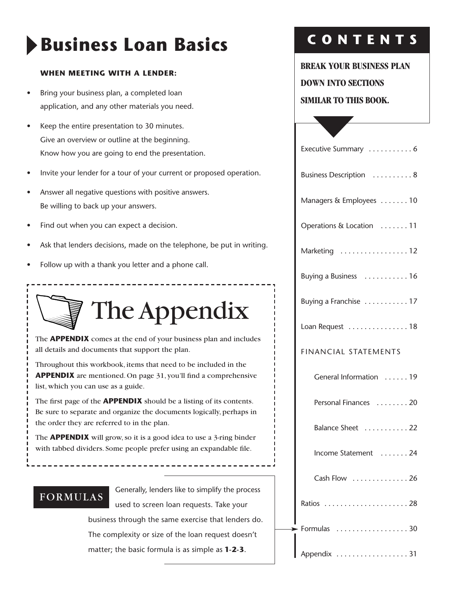# **Business Loan Basics**

#### **WHEN MEETING WITH A LENDER:**

- Bring your business plan, a completed loan application, and any other materials you need.
- Keep the entire presentation to 30 minutes. Give an overview or outline at the beginning. Know how you are going to end the presentation.
- Invite your lender for a tour of your current or proposed operation.
- Answer all negative questions with positive answers. Be willing to back up your answers.
- Find out when you can expect a decision.
- Ask that lenders decisions, made on the telephone, be put in writing.
- Follow up with a thank you letter and a phone call.



The **APPENDIX** comes at the end of your business plan and includes all details and documents that support the plan.

Throughout this workbook, items that need to be included in the **APPENDIX** are mentioned. On page 31, you'll find a comprehensive list, which you can use as a guide.

The first page of the **APPENDIX** should be a listing of its contents. Be sure to separate and organize the documents logically, perhaps in the order they are referred to in the plan.

The **APPENDIX** will grow, so it is a good idea to use a 3-ring binder with tabbed dividers. Some people prefer using an expandable file.

### FORMULAS

Generally, lenders like to simplify the process used to screen loan requests. Take your business through the same exercise that lenders do. The complexity or size of the loan request doesn't matter; the basic formula is as simple as **1-2-3**.

### **C O N T E N T S**

#### **BREAK YOUR BUSINESS PLAN**

**DOWN INTO SECTIONS**

#### **SIMILAR TO THIS BOOK.**

| Executive Summary  6        |
|-----------------------------|
| Business Description  8     |
| Managers & Employees  10    |
| Operations & Location 11    |
| Marketing 12                |
| Buying a Business  16       |
| Buying a Franchise 17       |
| Loan Request 18             |
| <b>FINANCIAL STATEMENTS</b> |
| General Information  19     |
| Personal Finances  20       |
| Balance Sheet  22           |
| Income Statement  24        |
| Cash Flow  26               |
|                             |
| Formulas  30                |
| Appendix 31                 |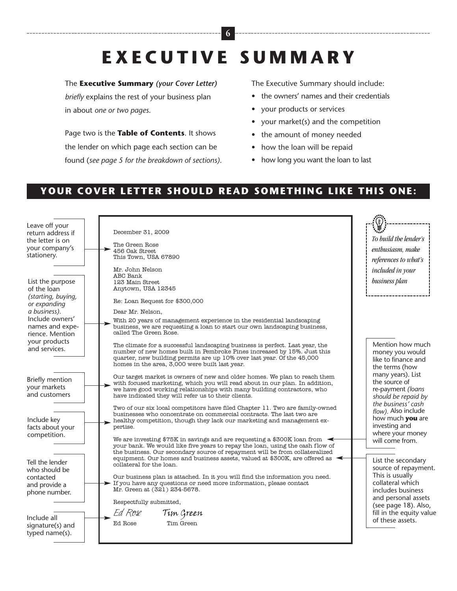# **E X E C U T I V E S U M M A R Y**

**6**

#### The **Executive Summary** *(your Cover Letter)*

*briefly* explains the rest of your business plan in about *one or two pages*.

Page two is the **Table of Contents**. It shows the lender on which page each section can be found (*see page 5 for the breakdown of sections)*. The Executive Summary should include:

- the owners' names and their credentials
- your products or services
- your market(s) and the competition
- the amount of money needed
- how the loan will be repaid
- how long you want the loan to last

### **YOUR COVER LETTER SHOULD READ SOMETHING LIKE THIS ONE:**

| Leave off your<br>return address if<br>the letter is on | December 31, 2009                                                                                                                                                                                                                                                                         | To build the lender's                                                                                     |
|---------------------------------------------------------|-------------------------------------------------------------------------------------------------------------------------------------------------------------------------------------------------------------------------------------------------------------------------------------------|-----------------------------------------------------------------------------------------------------------|
| your company's                                          | The Green Rose<br>456 Oak Street                                                                                                                                                                                                                                                          | enthusiasm, make                                                                                          |
| stationery.                                             | This Town, USA 67890                                                                                                                                                                                                                                                                      |                                                                                                           |
|                                                         |                                                                                                                                                                                                                                                                                           | references to what's                                                                                      |
|                                                         | Mr. John Nelson                                                                                                                                                                                                                                                                           | included in your                                                                                          |
|                                                         | ABC Bank                                                                                                                                                                                                                                                                                  | business plan                                                                                             |
| List the purpose                                        | 123 Main Street<br>Anytown, USA 12345                                                                                                                                                                                                                                                     |                                                                                                           |
| of the loan                                             |                                                                                                                                                                                                                                                                                           |                                                                                                           |
| (starting, buying,<br>or expanding                      | Re: Loan Request for \$300,000                                                                                                                                                                                                                                                            |                                                                                                           |
| a business).                                            | Dear Mr. Nelson,                                                                                                                                                                                                                                                                          |                                                                                                           |
| Include owners'<br>names and expe-<br>rience. Mention   | With 20 years of management experience in the residential landscaping<br>business, we are requesting a loan to start our own landscaping business,<br>called The Green Rose.                                                                                                              |                                                                                                           |
| your products<br>and services.                          | The climate for a successful landscaping business is perfect. Last year, the<br>number of new homes built in Pembroke Pines increased by 15%. Just this<br>quarter, new building permits are up 10% over last year. Of the 45,000<br>homes in the area, 3,000 were built last year.       | Mention how much<br>money you would<br>like to finance and<br>the terms (how                              |
| <b>Briefly mention</b><br>your markets<br>and customers | Our target market is owners of new and older homes. We plan to reach them<br>with focused marketing, which you will read about in our plan. In addition,<br>we have good working relationships with many building contractors, who<br>have indicated they will refer us to their clients. | many years). List<br>the source of<br>re-payment (loans<br>should be repaid by                            |
| Include key<br>facts about your                         | Two of our six local competitors have filed Chapter 11. Two are family-owned<br>businesses who concentrate on commercial contracts. The last two are<br>healthy competition, though they lack our marketing and management ex-<br>pertise.                                                | the business' cash<br>flow). Also include<br>how much <b>you</b> are<br>investing and<br>where your money |
| competition.                                            | We are investing \$75K in savings and are requesting a \$300K loan from $\blacktriangleleft$<br>your bank. We would like five years to repay the loan, using the cash flow of<br>the business. Our secondary source of repayment will be from collateralized                              | will come from.                                                                                           |
| Tell the lender<br>who should be                        | equipment. Our homes and business assets, valued at \$300K, are offered as<br>collateral for the loan.                                                                                                                                                                                    | List the secondary<br>source of repayment.                                                                |
| contacted<br>and provide a<br>phone number.             | Our business plan is attached. In it you will find the information you need.<br>$\blacktriangleright$ If you have any questions or need more information, please contact<br>Mr. Green at (321) 234-5678.                                                                                  | This is usually<br>collateral which<br>includes business<br>and personal assets                           |
|                                                         | Respectfully submitted,                                                                                                                                                                                                                                                                   | (see page 18). Also,                                                                                      |
| Include all                                             | Ed Rose<br>Tim Green                                                                                                                                                                                                                                                                      | fill in the equity value                                                                                  |
| signature(s) and<br>typed name(s).                      | Ed Rose<br>Tim Green                                                                                                                                                                                                                                                                      | of these assets.                                                                                          |
|                                                         |                                                                                                                                                                                                                                                                                           |                                                                                                           |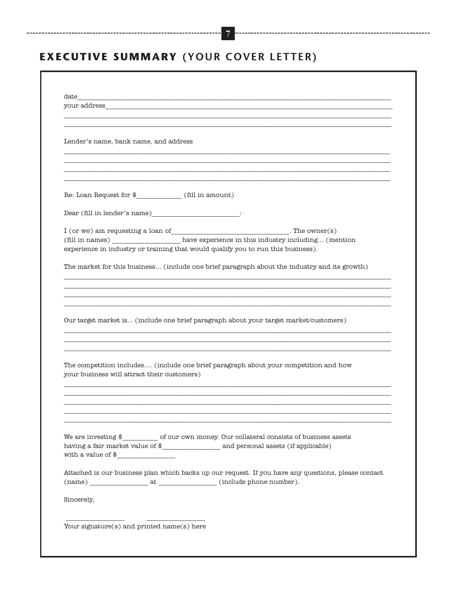### **EXECUTIVE SUMMARY (YOUR COVER LETTER)**

 $\overline{7}$ 

| your address $\hfill\ldots$                                                                                                                                                     |                                                                                                     |
|---------------------------------------------------------------------------------------------------------------------------------------------------------------------------------|-----------------------------------------------------------------------------------------------------|
| Lender's name, bank name, and address                                                                                                                                           |                                                                                                     |
|                                                                                                                                                                                 |                                                                                                     |
| $Re: Loan Request for $ \qquad (fill in amount)$                                                                                                                                |                                                                                                     |
| $\text{Dear (fill in lender's name)} \underline{\hspace{2cm}} \text{:}$                                                                                                         |                                                                                                     |
| $I$ (or we) am requesting a loan of<br>________________________________. The owner(s)<br>(fill in names) __________________ have experience in this industry including (mention |                                                                                                     |
| experience in industry or training that would qualify you to run this business).                                                                                                |                                                                                                     |
|                                                                                                                                                                                 | The market for this business (include one brief paragraph about the industry and its growth)        |
|                                                                                                                                                                                 |                                                                                                     |
|                                                                                                                                                                                 |                                                                                                     |
| Our target market is (include one brief paragraph about your target market/customers)                                                                                           |                                                                                                     |
|                                                                                                                                                                                 |                                                                                                     |
| The competition includes (include one brief paragraph about your competition and how<br>your business will attract their customers)                                             |                                                                                                     |
|                                                                                                                                                                                 |                                                                                                     |
|                                                                                                                                                                                 |                                                                                                     |
| We are investing $\frac{1}{2}$ of our own money. Our collateral consists of business assets<br>with a value of $\quad \overbrace{\quad \quad }$                                 |                                                                                                     |
| ${\rm (name)}\ \_\_ \ \_ at \ \_\_ \ \_ {\rm (include~phone~number).}$                                                                                                          | Attached is our business plan which backs up our request. If you have any questions, please contact |
|                                                                                                                                                                                 |                                                                                                     |
| Sincerely,                                                                                                                                                                      |                                                                                                     |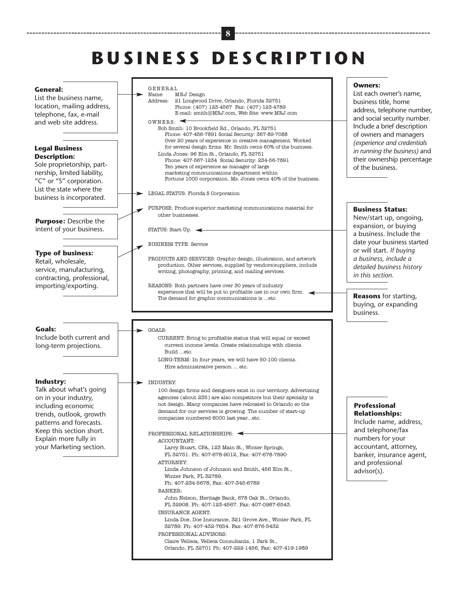# **B U S I N E S S D E S C R I P T I O N**

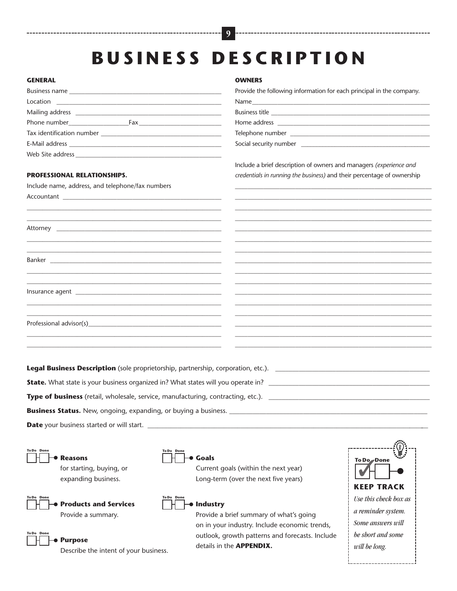# **B U S I N E S S D E S C R I P T I O N**

**9**

#### **GENERAL**

| $\begin{picture}(20,10) \put(0,0){\vector(1,0){100}} \put(15,0){\vector(1,0){100}} \put(15,0){\vector(1,0){100}} \put(15,0){\vector(1,0){100}} \put(15,0){\vector(1,0){100}} \put(15,0){\vector(1,0){100}} \put(15,0){\vector(1,0){100}} \put(15,0){\vector(1,0){100}} \put(15,0){\vector(1,0){100}} \put(15,0){\vector(1,0){100}} \put(15,0){\vector(1,0){100}} \$ |  |
|---------------------------------------------------------------------------------------------------------------------------------------------------------------------------------------------------------------------------------------------------------------------------------------------------------------------------------------------------------------------|--|
|                                                                                                                                                                                                                                                                                                                                                                     |  |
|                                                                                                                                                                                                                                                                                                                                                                     |  |
|                                                                                                                                                                                                                                                                                                                                                                     |  |
|                                                                                                                                                                                                                                                                                                                                                                     |  |
|                                                                                                                                                                                                                                                                                                                                                                     |  |
|                                                                                                                                                                                                                                                                                                                                                                     |  |

\_\_\_\_\_\_\_\_\_\_\_\_\_\_\_\_\_\_\_\_\_\_\_\_\_\_\_\_\_\_\_\_\_\_\_\_\_\_\_\_\_\_\_\_\_\_\_\_\_\_\_\_\_\_\_\_\_\_\_\_\_\_ \_\_\_\_\_\_\_\_\_\_\_\_\_\_\_\_\_\_\_\_\_\_\_\_\_\_\_\_\_\_\_\_\_\_\_\_\_\_\_\_\_\_\_\_\_\_\_\_\_\_\_\_\_\_\_\_\_\_\_\_\_\_

\_\_\_\_\_\_\_\_\_\_\_\_\_\_\_\_\_\_\_\_\_\_\_\_\_\_\_\_\_\_\_\_\_\_\_\_\_\_\_\_\_\_\_\_\_\_\_\_\_\_\_\_\_\_\_\_\_\_\_\_\_\_ \_\_\_\_\_\_\_\_\_\_\_\_\_\_\_\_\_\_\_\_\_\_\_\_\_\_\_\_\_\_\_\_\_\_\_\_\_\_\_\_\_\_\_\_\_\_\_\_\_\_\_\_\_\_\_\_\_\_\_\_\_\_

\_\_\_\_\_\_\_\_\_\_\_\_\_\_\_\_\_\_\_\_\_\_\_\_\_\_\_\_\_\_\_\_\_\_\_\_\_\_\_\_\_\_\_\_\_\_\_\_\_\_\_\_\_\_\_\_\_\_\_\_\_\_

\_\_\_\_\_\_\_\_\_\_\_\_\_\_\_\_\_\_\_\_\_\_\_\_\_\_\_\_\_\_\_\_\_\_\_\_\_\_\_\_\_\_\_\_\_\_\_\_\_\_\_\_\_\_\_\_\_\_\_\_\_\_ \_\_\_\_\_\_\_\_\_\_\_\_\_\_\_\_\_\_\_\_\_\_\_\_\_\_\_\_\_\_\_\_\_\_\_\_\_\_\_\_\_\_\_\_\_\_\_\_\_\_\_\_\_\_\_\_\_\_\_\_\_\_

\_\_\_\_\_\_\_\_\_\_\_\_\_\_\_\_\_\_\_\_\_\_\_\_\_\_\_\_\_\_\_\_\_\_\_\_\_\_\_\_\_\_\_\_\_\_\_\_\_\_\_\_\_\_\_\_\_\_\_\_\_\_ \_\_\_\_\_\_\_\_\_\_\_\_\_\_\_\_\_\_\_\_\_\_\_\_\_\_\_\_\_\_\_\_\_\_\_\_\_\_\_\_\_\_\_\_\_\_\_\_\_\_\_\_\_\_\_\_\_\_\_\_\_\_

#### **PROFESSIONAL RELATIONSHIPS.**

Include name, address, and telephone/fax numbers

Attorney **and the set of the set of the set of the set of the set of the set of the set of the set of the set o** 

Accountant

Banker \_\_\_\_\_\_\_\_\_\_\_\_\_\_\_\_\_\_\_\_\_\_\_\_\_\_\_\_\_\_\_\_\_\_\_\_\_\_\_\_\_\_\_\_\_\_\_\_\_\_\_\_\_\_

\_\_\_\_\_\_\_\_\_\_\_\_\_\_\_\_\_\_\_\_\_\_\_\_\_\_\_\_\_\_\_\_\_\_\_\_\_\_\_\_\_\_\_\_\_\_\_\_\_\_\_\_\_\_\_\_\_\_\_\_\_\_

Insurance agent \_\_\_\_\_\_\_\_\_\_\_\_\_\_\_\_\_\_\_\_\_\_\_\_\_\_\_\_\_\_\_\_\_\_\_\_\_\_\_\_\_\_\_\_\_\_

Professional advisor(s)

**Legal Business Description** (sole proprietorship, partnership, corporation, etc.).

**State.** What state is your business organized in? What states will you operate in? \_\_\_\_\_\_\_\_\_\_\_\_\_\_\_\_\_\_\_\_\_\_\_\_\_\_\_\_

**Type of business** (retail, wholesale, service, manufacturing, contracting, etc.). \_\_\_\_\_\_\_\_\_\_\_\_\_\_\_\_\_\_\_\_\_\_\_\_\_\_\_\_\_\_

**Business Status.** New, ongoing, expanding, or buying a business. \_\_\_\_\_\_\_\_\_\_\_\_\_\_\_

**Date** your business started or will start.



for starting, buying, or expanding business.



**Products and Services** Provide a summary.



#### **Purpose**

Describe the intent of your business.

#### **OWNERS**

Provide the following information for each principal in the company.

Name\_\_\_\_\_\_\_\_\_\_\_\_\_\_\_\_\_\_\_\_\_\_\_\_\_\_\_\_\_\_\_\_\_\_\_\_\_\_\_\_\_\_\_\_\_\_\_\_\_\_\_\_\_\_\_\_ Business title

Home address

Telephone number

Social security number \_

Include a brief description of owners and managers *(experience and credentials in running the business)* and their percentage of ownership

\_\_\_\_\_\_\_\_\_\_\_\_\_\_\_\_\_\_\_\_\_\_\_\_\_\_\_\_\_\_\_\_\_\_\_\_\_\_\_\_\_\_\_\_\_\_\_\_\_\_\_\_\_\_\_\_\_\_\_\_\_\_ \_\_\_\_\_\_\_\_\_\_\_\_\_\_\_\_\_\_\_\_\_\_\_\_\_\_\_\_\_\_\_\_\_\_\_\_\_\_\_\_\_\_\_\_\_\_\_\_\_\_\_\_\_\_\_\_\_\_\_\_\_\_ \_\_\_\_\_\_\_\_\_\_\_\_\_\_\_\_\_\_\_\_\_\_\_\_\_\_\_\_\_\_\_\_\_\_\_\_\_\_\_\_\_\_\_\_\_\_\_\_\_\_\_\_\_\_\_\_\_\_\_\_\_\_ \_\_\_\_\_\_\_\_\_\_\_\_\_\_\_\_\_\_\_\_\_\_\_\_\_\_\_\_\_\_\_\_\_\_\_\_\_\_\_\_\_\_\_\_\_\_\_\_\_\_\_\_\_\_\_\_\_\_\_\_\_\_ \_\_\_\_\_\_\_\_\_\_\_\_\_\_\_\_\_\_\_\_\_\_\_\_\_\_\_\_\_\_\_\_\_\_\_\_\_\_\_\_\_\_\_\_\_\_\_\_\_\_\_\_\_\_\_\_\_\_\_\_\_\_ \_\_\_\_\_\_\_\_\_\_\_\_\_\_\_\_\_\_\_\_\_\_\_\_\_\_\_\_\_\_\_\_\_\_\_\_\_\_\_\_\_\_\_\_\_\_\_\_\_\_\_\_\_\_\_\_\_\_\_\_\_\_ \_\_\_\_\_\_\_\_\_\_\_\_\_\_\_\_\_\_\_\_\_\_\_\_\_\_\_\_\_\_\_\_\_\_\_\_\_\_\_\_\_\_\_\_\_\_\_\_\_\_\_\_\_\_\_\_\_\_\_\_\_\_ \_\_\_\_\_\_\_\_\_\_\_\_\_\_\_\_\_\_\_\_\_\_\_\_\_\_\_\_\_\_\_\_\_\_\_\_\_\_\_\_\_\_\_\_\_\_\_\_\_\_\_\_\_\_\_\_\_\_\_\_\_\_ \_\_\_\_\_\_\_\_\_\_\_\_\_\_\_\_\_\_\_\_\_\_\_\_\_\_\_\_\_\_\_\_\_\_\_\_\_\_\_\_\_\_\_\_\_\_\_\_\_\_\_\_\_\_\_\_\_\_\_\_\_\_ \_\_\_\_\_\_\_\_\_\_\_\_\_\_\_\_\_\_\_\_\_\_\_\_\_\_\_\_\_\_\_\_\_\_\_\_\_\_\_\_\_\_\_\_\_\_\_\_\_\_\_\_\_\_\_\_\_\_\_\_\_\_ \_\_\_\_\_\_\_\_\_\_\_\_\_\_\_\_\_\_\_\_\_\_\_\_\_\_\_\_\_\_\_\_\_\_\_\_\_\_\_\_\_\_\_\_\_\_\_\_\_\_\_\_\_\_\_\_\_\_\_\_\_\_ \_\_\_\_\_\_\_\_\_\_\_\_\_\_\_\_\_\_\_\_\_\_\_\_\_\_\_\_\_\_\_\_\_\_\_\_\_\_\_\_\_\_\_\_\_\_\_\_\_\_\_\_\_\_\_\_\_\_\_\_\_\_ \_\_\_\_\_\_\_\_\_\_\_\_\_\_\_\_\_\_\_\_\_\_\_\_\_\_\_\_\_\_\_\_\_\_\_\_\_\_\_\_\_\_\_\_\_\_\_\_\_\_\_\_\_\_\_\_\_\_\_\_\_\_ \_\_\_\_\_\_\_\_\_\_\_\_\_\_\_\_\_\_\_\_\_\_\_\_\_\_\_\_\_\_\_\_\_\_\_\_\_\_\_\_\_\_\_\_\_\_\_\_\_\_\_\_\_\_\_\_\_\_\_\_\_\_ \_\_\_\_\_\_\_\_\_\_\_\_\_\_\_\_\_\_\_\_\_\_\_\_\_\_\_\_\_\_\_\_\_\_\_\_\_\_\_\_\_\_\_\_\_\_\_\_\_\_\_\_\_\_\_\_\_\_\_\_\_\_ \_\_\_\_\_\_\_\_\_\_\_\_\_\_\_\_\_\_\_\_\_\_\_\_\_\_\_\_\_\_\_\_\_\_\_\_\_\_\_\_\_\_\_\_\_\_\_\_\_\_\_\_\_\_\_\_\_\_\_\_\_\_

#### **To Do Done Industry**

**Goals**

**To Do Done**

Provide a brief summary of what's going on in your industry. Include economic trends, outlook, growth patterns and forecasts. Include details in the **APPENDIX.**

Current goals (within the next year) Long-term (over the next five years)

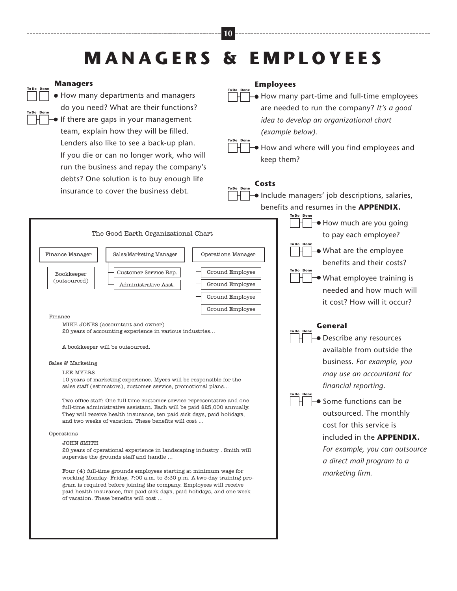### **M A N A G E R S & E M P L O Y E E S**

**10**

**To Do Done**

#### **Managers**

**To Do Done**

**To Do Done**

• How many departments and managers do you need? What are their functions? • If there are gaps in your management team, explain how they will be filled. Lenders also like to see a back-up plan. If you die or can no longer work, who will run the business and repay the company's debts? One solution is to buy enough life insurance to cover the business debt.

#### **Employees**

• How many part-time and full-time employees are needed to run the company? *It's a good idea to develop an organizational chart (example below).*

• How and where will you find employees and keep them? **To Do Done**

#### **Costs To Do Done**

• Include managers' job descriptions, salaries, benefits and resumes in the **APPENDIX.**

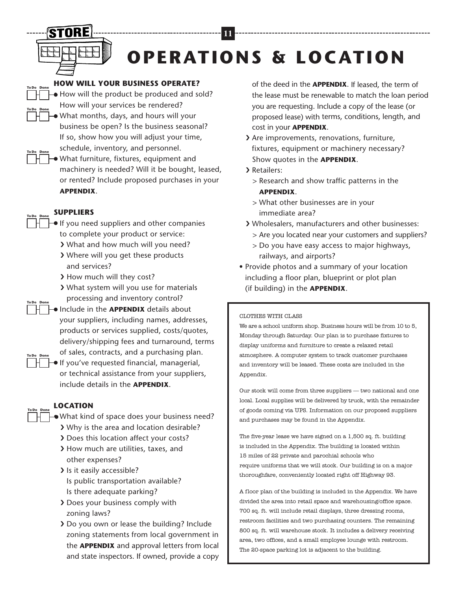

**To Do Done**

**To Do Done**

**To Do Done**

**To Do Done**

# **OPERATIONS & LOCATION**

**11**

#### **HOW WILL YOUR BUSINESS OPERATE?**

• How will the product be produced and sold? How will your services be rendered? • What months, days, and hours will your business be open? Is the business seasonal? If so, show how you will adjust your time,

schedule, inventory, and personnel. • What furniture, fixtures, equipment and machinery is needed? Will it be bought, leased, or rented? Include proposed purchases in your **APPENDIX**.

#### **SUPPLIERS**

- **•** If you need suppliers and other companies to complete your product or service:
	- ❯ What and how much will you need?
	- ❯ Where will you get these products and services?
	- > How much will they cost?
	- ❯ What system will you use for materials processing and inventory control?
- Include in the **APPENDIX** details about your suppliers, including names, addresses, products or services supplied, costs/quotes, delivery/shipping fees and turnaround, terms of sales, contracts, and a purchasing plan. **To Do Done**
- If you've requested financial, managerial, or technical assistance from your suppliers, include details in the **APPENDIX**. **To Do Done**

#### **LOCATION To Do Done**

- What kind of space does your business need?
- ❯ Why is the area and location desirable?
- ❯ Does this location affect your costs?
- ❯ How much are utilities, taxes, and other expenses?
- > Is it easily accessible? Is public transportation available? Is there adequate parking?
- ❯ Does your business comply with zoning laws?
- ❯ Do you own or lease the building? Include zoning statements from local government in the **APPENDIX** and approval letters from local and state inspectors. If owned, provide a copy

of the deed in the **APPENDIX**. If leased, the term of the lease must be renewable to match the loan period you are requesting. Include a copy of the lease (or proposed lease) with terms, conditions, length, and cost in your **APPENDIX**.

- ❯ Are improvements, renovations, furniture, fixtures, equipment or machinery necessary? Show quotes in the **APPENDIX**.
- > Retailers:
	- > Research and show traffic patterns in the **APPENDIX**.
	- > What other businesses are in your immediate area?
- ❯ Wholesalers, manufacturers and other businesses:
	- > Are you located near your customers and suppliers?
	- > Do you have easy access to major highways, railways, and airports?
- Provide photos and a summary of your location including a floor plan, blueprint or plot plan (if building) in the **APPENDIX**.

#### CLOTHES WITH CLASS

We are a school uniform shop. Business hours will be from 10 to 5, Monday through Saturday. Our plan is to purchase fixtures to display uniforms and furniture to create a relaxed retail atmosphere. A computer system to track customer purchases and inventory will be leased. These costs are included in the Appendix.

Our stock will come from three suppliers — two national and one local. Local supplies will be delivered by truck, with the remainder of goods coming via UPS. Information on our proposed suppliers and purchases may be found in the Appendix.

The five-year lease we have signed on a 1,500 sq. ft. building is included in the Appendix. The building is located within 15 miles of 22 private and parochial schools who require uniforms that we will stock. Our building is on a major thoroughfare, conveniently located right off Highway 93.

A floor plan of the building is included in the Appendix. We have divided the area into retail space and warehousing/office space. 700 sq. ft. will include retail displays, three dressing rooms, restroom facilities and two purchasing counters. The remaining 800 sq. ft. will warehouse stock. It includes a delivery receiving area, two offices, and a small employee lounge with restroom. The 20-space parking lot is adjacent to the building.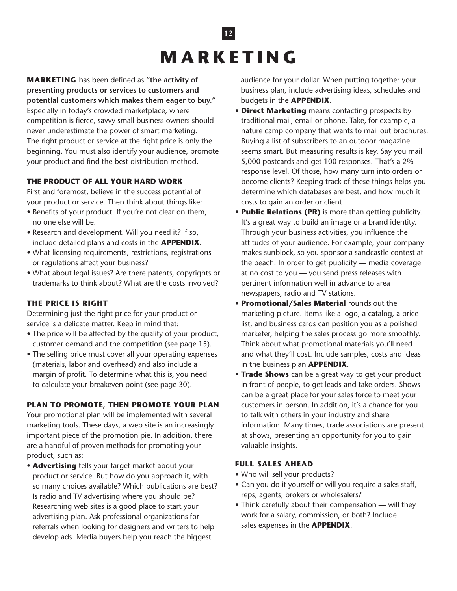# **M A R K E T I N G**

**MARKETING** has been defined as **"the activity of presenting products or services to customers and potential customers which makes them eager to buy."** Especially in today's crowded marketplace, where competition is fierce, savvy small business owners should never underestimate the power of smart marketing. The right product or service at the right price is only the beginning. You must also identify your audience, promote your product and find the best distribution method.

#### **THE PRODUCT OF ALL YOUR HARD WORK**

First and foremost, believe in the success potential of your product or service. Then think about things like:

- Benefits of your product. If you're not clear on them, no one else will be.
- Research and development. Will you need it? If so, include detailed plans and costs in the **APPENDIX**.
- What licensing requirements, restrictions, registrations or regulations affect your business?
- What about legal issues? Are there patents, copyrights or trademarks to think about? What are the costs involved?

#### **THE PRICE IS RIGHT**

Determining just the right price for your product or service is a delicate matter. Keep in mind that:

- The price will be affected by the quality of your product, customer demand and the competition (see page 15).
- The selling price must cover all your operating expenses (materials, labor and overhead) and also include a margin of profit. To determine what this is, you need to calculate your breakeven point (see page 30).

#### **PLAN TO PROMOTE, THEN PROMOTE YOUR PLAN**

Your promotional plan will be implemented with several marketing tools. These days, a web site is an increasingly important piece of the promotion pie. In addition, there are a handful of proven methods for promoting your product, such as:

• **Advertising** tells your target market about your product or service. But how do you approach it, with so many choices available? Which publications are best? Is radio and TV advertising where you should be? Researching web sites is a good place to start your advertising plan. Ask professional organizations for referrals when looking for designers and writers to help develop ads. Media buyers help you reach the biggest

audience for your dollar. When putting together your business plan, include advertising ideas, schedules and budgets in the **APPENDIX**.

- **• Direct Marketing** means contacting prospects by traditional mail, email or phone. Take, for example, a nature camp company that wants to mail out brochures. Buying a list of subscribers to an outdoor magazine seems smart. But measuring results is key. Say you mail 5,000 postcards and get 100 responses. That's a 2% response level. Of those, how many turn into orders or become clients? Keeping track of these things helps you determine which databases are best, and how much it costs to gain an order or client.
- **• Public Relations (PR)** is more than getting publicity. It's a great way to build an image or a brand identity. Through your business activities, you influence the attitudes of your audience. For example, your company makes sunblock, so you sponsor a sandcastle contest at the beach. In order to get publicity — media coverage at no cost to you — you send press releases with pertinent information well in advance to area newspapers, radio and TV stations.
- **• Promotional/Sales Material** rounds out the marketing picture. Items like a logo, a catalog, a price list, and business cards can position you as a polished marketer, helping the sales process go more smoothly. Think about what promotional materials you'll need and what they'll cost. Include samples, costs and ideas in the business plan **APPENDIX**.
- **• Trade Shows** can be a great way to get your product in front of people, to get leads and take orders. Shows can be a great place for your sales force to meet your customers in person. In addition, it's a chance for you to talk with others in your industry and share information. Many times, trade associations are present at shows, presenting an opportunity for you to gain valuable insights.

#### **FULL SALES AHEAD**

- **•** Who will sell your products?
- **•** Can you do it yourself or will you require a sales staff, reps, agents, brokers or wholesalers?
- **•** Think carefully about their compensation will they work for a salary, commission, or both? Include sales expenses in the **APPENDIX**.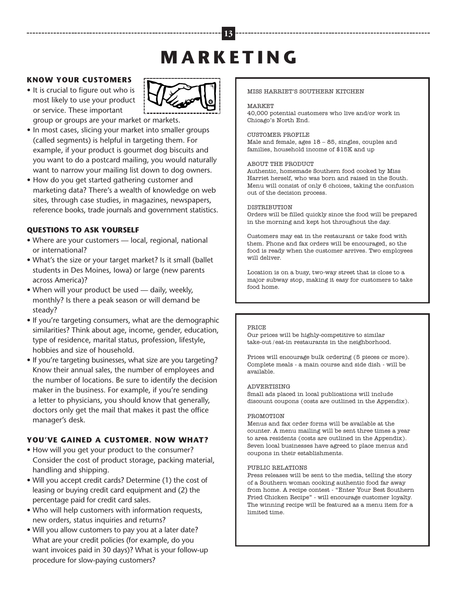# **M A R K E T I N G**

**13**

#### **KNOW YOUR CUSTOMERS**

**•** It is crucial to figure out who is most likely to use your product or service. These important



group or groups are your market or markets.

- **•** In most cases, slicing your market into smaller groups (called segments) is helpful in targeting them. For example, if your product is gourmet dog biscuits and you want to do a postcard mailing, you would naturally want to narrow your mailing list down to dog owners.
- **•** How do you get started gathering customer and marketing data? There's a wealth of knowledge on web sites, through case studies, in magazines, newspapers, reference books, trade journals and government statistics.

#### **QUESTIONS TO ASK YOURSELF**

- Where are your customers local, regional, national or international?
- What's the size or your target market? Is it small (ballet students in Des Moines, Iowa) or large (new parents across America)?
- When will your product be used daily, weekly, monthly? Is there a peak season or will demand be steady?
- If you're targeting consumers, what are the demographic similarities? Think about age, income, gender, education, type of residence, marital status, profession, lifestyle, hobbies and size of household.
- If you're targeting businesses, what size are you targeting? Know their annual sales, the number of employees and the number of locations. Be sure to identify the decision maker in the business. For example, if you're sending a letter to physicians, you should know that generally, doctors only get the mail that makes it past the office manager's desk.

#### **YOU'VE GAINED A CUSTOMER. NOW WHAT?**

- How will you get your product to the consumer? Consider the cost of product storage, packing material, handling and shipping.
- Will you accept credit cards? Determine (1) the cost of leasing or buying credit card equipment and (2) the percentage paid for credit card sales.
- Who will help customers with information requests, new orders, status inquiries and returns?
- Will you allow customers to pay you at a later date? What are your credit policies (for example, do you want invoices paid in 30 days)? What is your follow-up procedure for slow-paying customers?

#### MISS HARRIET'S SOUTHERN KITCHEN

#### **MARKET**

40,000 potential customers who live and/or work in Chicago's North End.

#### CUSTOMER PROFILE

Male and female, ages 18 – 85, singles, couples and families, household income of \$15K and up

#### ABOUT THE PRODUCT

Authentic, homemade Southern food cooked by Miss Harriet herself, who was born and raised in the South. Menu will consist of only 6 choices, taking the confusion out of the decision process.

#### DISTRIBUTION

Orders will be filled quickly since the food will be prepared in the morning and kept hot throughout the day.

Customers may eat in the restaurant or take food with them. Phone and fax orders will be encouraged, so the food is ready when the customer arrives. Two employees will deliver.

Location is on a busy, two-way street that is close to a major subway stop, making it easy for customers to take food home.

#### **PRICE**

Our prices will be highly-competitive to similar take-out /eat-in restaurants in the neighborhood.

Prices will encourage bulk ordering (5 pieces or more). Complete meals - a main course and side dish - will be available.

#### ADVERTISING

Small ads placed in local publications will include discount coupons (costs are outlined in the Appendix).

#### PROMOTION

Menus and fax order forms will be available at the counter. A menu mailing will be sent three times a year to area residents (costs are outlined in the Appendix). Seven local businesses have agreed to place menus and coupons in their establishments.

#### PUBLIC RELATIONS

Press releases will be sent to the media, telling the story of a Southern woman cooking authentic food far away from home. A recipe contest - "Enter Your Best Southern Fried Chicken Recipe" - will encourage customer loyalty. The winning recipe will be featured as a menu item for a limited time.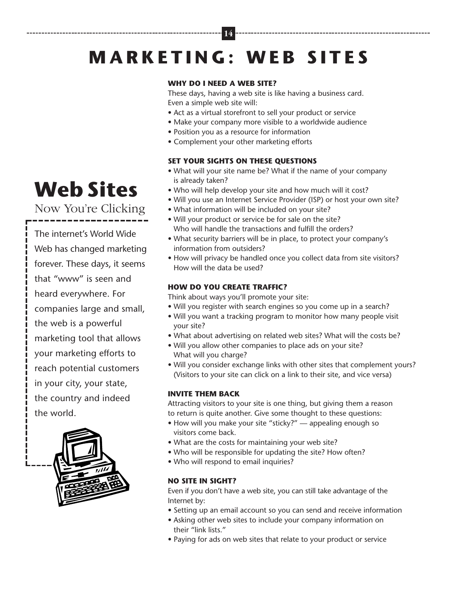# **M A R K E T I N G : W E B S I T E S**

**14**

#### **WHY DO I NEED A WEB SITE?**

These days, having a web site is like having a business card. Even a simple web site will:

- Act as a virtual storefront to sell your product or service
- Make your company more visible to a worldwide audience
- Position you as a resource for information
- Complement your other marketing efforts

#### **SET YOUR SIGHTS ON THESE QUESTIONS**

- What will your site name be? What if the name of your company is already taken?
- Who will help develop your site and how much will it cost?
- Will you use an Internet Service Provider (ISP) or host your own site?
- What information will be included on your site?
- Will your product or service be for sale on the site? Who will handle the transactions and fulfill the orders?
- What security barriers will be in place, to protect your company's information from outsiders?
- How will privacy be handled once you collect data from site visitors? How will the data be used?

#### **HOW DO YOU CREATE TRAFFIC?**

Think about ways you'll promote your site:

- Will you register with search engines so you come up in a search?
- Will you want a tracking program to monitor how many people visit your site?
- What about advertising on related web sites? What will the costs be?
- Will you allow other companies to place ads on your site? What will you charge?
- Will you consider exchange links with other sites that complement yours? (Visitors to your site can click on a link to their site, and vice versa)

#### **INVITE THEM BACK**

Attracting visitors to your site is one thing, but giving them a reason to return is quite another. Give some thought to these questions:

- How will you make your site "sticky?" appealing enough so visitors come back.
- What are the costs for maintaining your web site?
- Who will be responsible for updating the site? How often?
- Who will respond to email inquiries?

#### **NO SITE IN SIGHT?**

Even if you don't have a web site, you can still take advantage of the Internet by:

- Setting up an email account so you can send and receive information
- Asking other web sites to include your company information on their "link lists."
- Paying for ads on web sites that relate to your product or service

# **Web Sites**

Now You're Clicking

The internet's World Wide Web has changed marketing forever. These days, it seems that "www" is seen and heard everywhere. For companies large and small, the web is a powerful marketing tool that allows your marketing efforts to reach potential customers in your city, your state, the country and indeed the world.

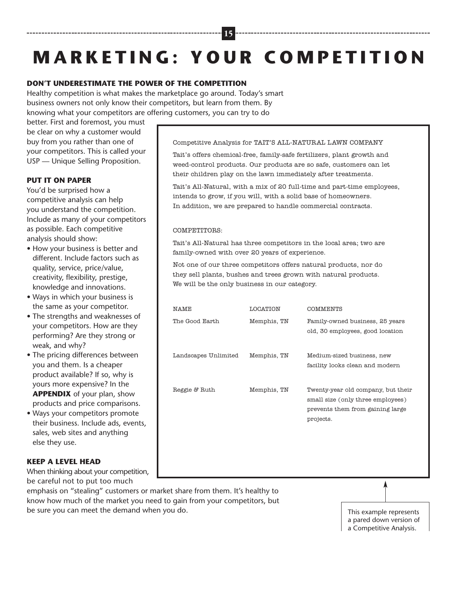# **M A R K E T I N G : Y O U R C O M P E T I T I O N**

**15**

#### **DON'T UNDERESTIMATE THE POWER OF THE COMPETITION**

Healthy competition is what makes the marketplace go around. Today's smart business owners not only know their competitors, but learn from them. By knowing what your competitors are offering customers, you can try to do

better. First and foremost, you must be clear on why a customer would buy from you rather than one of your competitors. This is called your USP — Unique Selling Proposition.

#### **PUT IT ON PAPER**

You'd be surprised how a competitive analysis can help you understand the competition. Include as many of your competitors as possible. Each competitive analysis should show:

- How your business is better and different. Include factors such as quality, service, price/value, creativity, flexibility, prestige, knowledge and innovations.
- Ways in which your business is the same as your competitor.
- The strengths and weaknesses of your competitors. How are they performing? Are they strong or weak, and why?
- The pricing differences between you and them. Is a cheaper product available? If so, why is yours more expensive? In the **APPENDIX** of your plan, show products and price comparisons.
- Ways your competitors promote their business. Include ads, events, sales, web sites and anything else they use.

#### **KEEP A LEVEL HEAD**

When thinking about your competition, be careful not to put too much

emphasis on "stealing" customers or market share from them. It's healthy to know how much of the market you need to gain from your competitors, but be sure you can meet the demand when you do.

Competitive Analysis for TAIT'S ALL-NATURAL LAWN COMPANY

Tait's offers chemical-free, family-safe fertilizers, plant growth and weed-control products. Our products are so safe, customers can let their children play on the lawn immediately after treatments.

Tait's All-Natural, with a mix of 20 full-time and part-time employees, intends to grow, if you will, with a solid base of homeowners. In addition, we are prepared to handle commercial contracts.

#### COMPETITORS:

Tait's All-Natural has three competitors in the local area; two are family-owned with over 20 years of experience.

Not one of our three competitors offers natural products, nor do they sell plants, bushes and trees grown with natural products. We will be the only business in our category.

| NAME                 | LOCATION    | COMMENTS                                                                                                                 |
|----------------------|-------------|--------------------------------------------------------------------------------------------------------------------------|
| The Good Earth       | Memphis, TN | Family-owned business, 25 years<br>old, 30 employees, good location                                                      |
| Landscapes Unlimited | Memphis, TN | Medium-sized business, new<br>facility looks clean and modern                                                            |
| Reggie & Ruth        | Memphis, TN | Twenty-year old company, but their<br>small size (only three employees)<br>prevents them from gaining large<br>projects. |

This example represents a pared down version of a Competitive Analysis.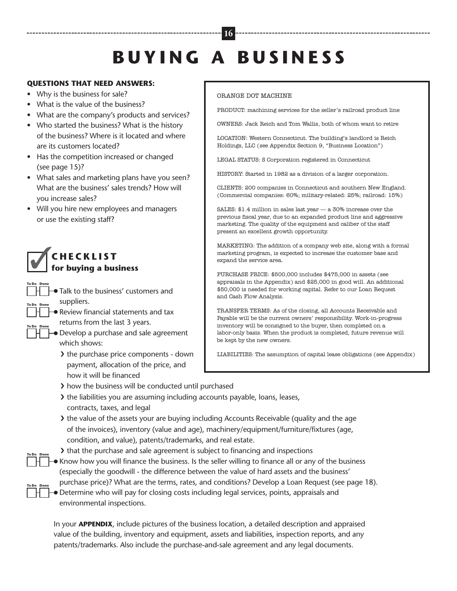# **B U Y I N G A B U S I N E S S**

**16**

#### **QUESTIONS THAT NEED ANSWERS:**

- Why is the business for sale?
- What is the value of the business?
- What are the company's products and services?
- Who started the business? What is the history of the business? Where is it located and where are its customers located?
- Has the competition increased or changed (see page 15)?
- What sales and marketing plans have you seen? What are the business' sales trends? How will you increase sales?
- Will you hire new employees and managers or use the existing staff?

#### ✓ **C H E C K L I S T for buying a business**

**To Do Done**

- Talk to the business' customers and suppliers. **To Do Done To Do Done**
- Review financial statements and tax returns from the last 3 years. **To Do Done**
	- Develop a purchase and sale agreement which shows:
		- ❯ the purchase price components down payment, allocation of the price, and how it will be financed

#### ORANGE DOT MACHINE

PRODUCT: machining services for the seller's railroad product line

OWNERS: Jack Reich and Tom Wallis, both of whom want to retire

LOCATION: Western Connecticut. The building's landlord is Reich Holdings, LLC (see Appendix Section 9, "Business Location")

LEGAL STATUS: S Corporation registered in Connecticut

HISTORY: Started in 1982 as a division of a larger corporation.

CLIENTS: 200 companies in Connecticut and southern New England. (Commercial companies: 60%; military-related: 25%; railroad: 15%)

SALES: \$1.4 million in sales last year — a 30% increase over the previous fiscal year, due to an expanded product line and aggressive marketing. The quality of the equipment and caliber of the staff present an excellent growth opportunity.

MARKETING: The addition of a company web site, along with a formal marketing program, is expected to increase the customer base and expand the service area.

PURCHASE PRICE: \$500,000 includes \$475,000 in assets (see appraisals in the Appendix) and \$25,000 in good will. An additional \$50,000 is needed for working capital. Refer to our Loan Request and Cash Flow Analysis.

TRANSFER TERMS: As of the closing, all Accounts Receivable and Payable will be the current owners' responsibility. Work-in-progress inventory will be consigned to the buyer, then completed on a labor-only basis. When the product is completed, future revenue will be kept by the new owners.

LIABILITIES: The assumption of capital lease obligations (see Appendix)

- ❯ how the business will be conducted until purchased
- ❯ the liabilities you are assuming including accounts payable, loans, leases, contracts, taxes, and legal
- If the value of the assets your are buying including Accounts Receivable (quality and the age of the invoices), inventory (value and age), machinery/equipment/furniture/fixtures (age, condition, and value), patents/trademarks, and real estate.

If that the purchase and sale agreement is subject to financing and inspections

- Know how you will finance the business. Is the seller willing to finance all or any of the business (especially the goodwill - the difference between the value of hard assets and the business' purchase price)? What are the terms, rates, and conditions? Develop a Loan Request (see page 18).
- Determine who will pay for closing costs including legal services, points, appraisals and environmental inspections. **To Do Done**

In your **APPENDIX**, include pictures of the business location, a detailed description and appraised value of the building, inventory and equipment, assets and liabilities, inspection reports, and any patents/trademarks. Also include the purchase-and-sale agreement and any legal documents.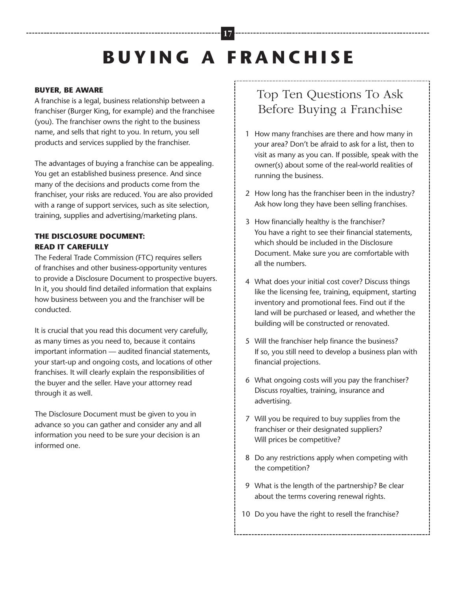# **B U Y I N G A F R A N C H I S E**

**17**

#### **BUYER, BE AWARE**

A franchise is a legal, business relationship between a franchiser (Burger King, for example) and the franchisee (you). The franchiser owns the right to the business name, and sells that right to you. In return, you sell products and services supplied by the franchiser.

The advantages of buying a franchise can be appealing. You get an established business presence. And since many of the decisions and products come from the franchiser, your risks are reduced. You are also provided with a range of support services, such as site selection, training, supplies and advertising/marketing plans.

#### **THE DISCLOSURE DOCUMENT: READ IT CAREFULLY**

The Federal Trade Commission (FTC) requires sellers of franchises and other business-opportunity ventures to provide a Disclosure Document to prospective buyers. In it, you should find detailed information that explains how business between you and the franchiser will be conducted.

It is crucial that you read this document very carefully, as many times as you need to, because it contains important information — audited financial statements, your start-up and ongoing costs, and locations of other franchises. It will clearly explain the responsibilities of the buyer and the seller. Have your attorney read through it as well.

The Disclosure Document must be given to you in advance so you can gather and consider any and all information you need to be sure your decision is an informed one.

### Top Ten Questions To Ask Before Buying a Franchise

- 1 How many franchises are there and how many in your area? Don't be afraid to ask for a list, then to visit as many as you can. If possible, speak with the owner(s) about some of the real-world realities of running the business.
- 2 How long has the franchiser been in the industry? Ask how long they have been selling franchises.
- 3 How financially healthy is the franchiser? You have a right to see their financial statements, which should be included in the Disclosure Document. Make sure you are comfortable with all the numbers.
- 4 What does your initial cost cover? Discuss things like the licensing fee, training, equipment, starting inventory and promotional fees. Find out if the land will be purchased or leased, and whether the building will be constructed or renovated.
- 5 Will the franchiser help finance the business? If so, you still need to develop a business plan with financial projections.
- 6 What ongoing costs will you pay the franchiser? Discuss royalties, training, insurance and advertising.
- 7 Will you be required to buy supplies from the franchiser or their designated suppliers? Will prices be competitive?
- 8 Do any restrictions apply when competing with the competition?
- 9 What is the length of the partnership? Be clear about the terms covering renewal rights.
- 10 Do you have the right to resell the franchise?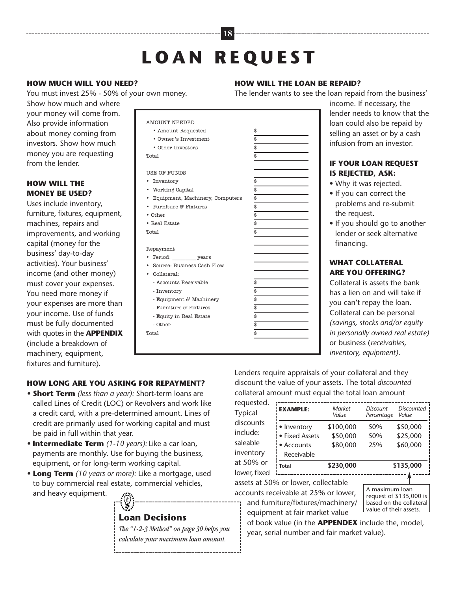# **L O A N R E Q U E S T**

**18**

#### **HOW MUCH WILL YOU NEED?**

You must invest 25% - 50% of your own money.

Show how much and where your money will come from. Also provide information about money coming from investors. Show how much money you are requesting from the lender.

#### **HOW WILL THE MONEY BE USED?**

Uses include inventory, furniture, fixtures, equipment, machines, repairs and improvements, and working capital (money for the business' day-to-day activities). Your business' income (and other money) must cover your expenses. You need more money if your expenses are more than your income. Use of funds must be fully documented with quotes in the **APPENDIX** (include a breakdown of machinery, equipment, fixtures and furniture).

| <b>AMOUNT NEEDED</b>                         |                         |
|----------------------------------------------|-------------------------|
| • Amount Requested                           | \$                      |
| • Owner's Investment                         | \$                      |
| • Other Investors                            | \$                      |
| Total                                        | \$                      |
|                                              |                         |
| USE OF FUNDS                                 |                         |
| Inventory                                    | \$                      |
| • Working Capital                            | \$                      |
| Equipment, Machinery, Computers<br>$\bullet$ | \$                      |
| • Furniture & Fixtures                       | \$                      |
| $\bullet$ Other                              | \$                      |
| • Real Estate                                | $\overline{\mathbb{s}}$ |
| Total                                        | \$                      |
|                                              |                         |
| Repayment                                    |                         |
|                                              |                         |
| Source: Business Cash Flow                   |                         |
| • Collateral:                                |                         |
| - Accounts Receivable                        | \$                      |
| - Inventory                                  | \$                      |
| - Equipment $\mathcal C$ Machinery           | \$                      |
| - Furniture & Fixtures                       | \$                      |
| - Equity in Real Estate                      |                         |
| - Other                                      |                         |
| Total                                        | \$                      |
|                                              |                         |
|                                              |                         |

#### **HOW WILL THE LOAN BE REPAID?**

The lender wants to see the loan repaid from the business'

income. If necessary, the lender needs to know that the loan could also be repaid by selling an asset or by a cash infusion from an investor.

#### **IF YOUR LOAN REQUEST IS REJECTED, ASK:**

- Why it was rejected.
- If you can correct the problems and re-submit the request.
- If you should go to another lender or seek alternative financing.

#### **WHAT COLLATERAL ARE YOU OFFERING?**

Collateral is assets the bank has a lien on and will take if you can't repay the loan. Collateral can be personal *(savings, stocks and/or equity in personally owned real estate)* or business (*receivables, inventory, equipment)*.

#### **HOW LONG ARE YOU ASKING FOR REPAYMENT?**

- *•* **Short Term** *(less than a year):* Short-term loans are called Lines of Credit (LOC) or Revolvers and work like a credit card, with a pre-determined amount. Lines of credit are primarily used for working capital and must be paid in full within that year.
- *•* **Intermediate Term** *(1-10 years):* Like a car loan, payments are monthly. Use for buying the business, equipment, or for long-term working capital.
- *•* **Long Term** *(10 years or more):* Like a mortgage, used to buy commercial real estate, commercial vehicles, and heavy equipment.

### **Loan Decisions**

*The "1-2-3 Method" on page 30 helps you calculate your maximum loan amount.*

-------------------------------------

Lenders require appraisals of your collateral and they discount the value of your assets. The total *discounted* collateral amount must equal the total loan amount

| requested.   |                 |                 |                        |                            |
|--------------|-----------------|-----------------|------------------------|----------------------------|
| Typical      | <b>EXAMPLE:</b> | Market<br>Value | Discount<br>Percentage | <b>Discounted</b><br>Value |
| discounts    | • Inventory     | \$100,000       | 50%                    | \$50,000                   |
| include:     | • Fixed Assets  | \$50,000        | 50%                    | \$25,000                   |
| saleable     | • Accounts      | \$80,000        | 25%                    | \$60,000                   |
| inventory    | Receivable      |                 |                        |                            |
| at 50% or    | <b>Total</b>    | \$230,000       |                        | \$135,000                  |
| lower, fixed |                 |                 |                        |                            |

assets at 50% or lower, collectable

accounts receivable at 25% or lower, and furniture/fixtures/machinery/ equipment at fair market value

A maximum loan request of \$135,000 is based on the collateral value of their assets.

of book value (in the **APPENDEX** include the, model, year, serial number and fair market value).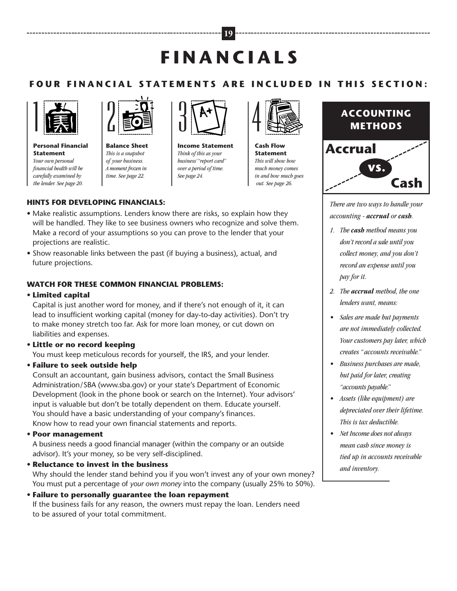# **F I N A N C I A L S**

**19**

#### FOUR FINANCIAL STATEMENTS ARE INCLUDED IN THIS SECTION:



**Personal Financial**<br>Statement **Statement** *Your own personal financial health will be carefully examined by the lender. See page 20.*



**Balance Sheet** *This is a snapshot of your business. A moment frozen in time. See page 22.*



**Income Statement** *Think of this as your business'"report card" over a period of time. See page 24.*



**Cash Flow Statement** *This will show how much money comes in and how much goes out. See page 26.*

### **ACCOUNTING METHODS**



*There are two ways to handle your accounting - accrual or cash.*

- *1. The cash method means you don't record a sale until you collect money, and you don't record an expense until you pay for it.*
- *2. The accrual method, the one lenders want, means:*
- *• Sales are made but payments are not immediately collected. Your customers pay later, which creates "accounts receivable."*
- *• Business purchases are made, but paid for later, creating "accounts payable."*
- *• Assets (like equipment) are depreciated over their lifetime. This is tax deductible.*
- *• Net Income does not always mean cash since money is tied up in accounts receivable and inventory.*

#### **HINTS FOR DEVELOPING FINANCIALS:**

- Make realistic assumptions. Lenders know there are risks, so explain how they will be handled. They like to see business owners who recognize and solve them. Make a record of your assumptions so you can prove to the lender that your projections are realistic.
- Show reasonable links between the past (if buying a business), actual, and future projections.

#### **WATCH FOR THESE COMMON FINANCIAL PROBLEMS:**

• **Limited capital**

Capital is just another word for money, and if there's not enough of it, it can lead to insufficient working capital (money for day-to-day activities). Don't try to make money stretch too far. Ask for more loan money, or cut down on liabilities and expenses.

#### • **Little or no record keeping**

You must keep meticulous records for yourself, the IRS, and your lender.

#### • **Failure to seek outside help**

Consult an accountant, gain business advisors, contact the Small Business Administration/SBA (www.sba.gov) or your state's Department of Economic Development (look in the phone book or search on the Internet). Your advisors' input is valuable but don't be totally dependent on them. Educate yourself. You should have a basic understanding of your company's finances. Know how to read your own financial statements and reports.

• **Poor management**

A business needs a good financial manager (within the company or an outside advisor). It's your money, so be very self-disciplined.

• **Reluctance to invest in the business**

Why should the lender stand behind you if you won't invest any of your own money? You must put a percentage of *your own money* into the company (usually 25% to 50%).

• **Failure to personally guarantee the loan repayment** If the business fails for any reason, the owners must repay the loan. Lenders need to be assured of your total commitment.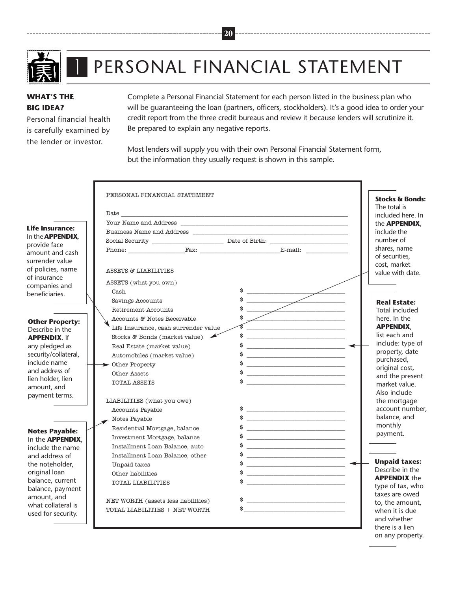

# PERSONAL FINANCIAL STATEMENT

#### **WHAT'S THE BIG IDEA?**

Personal financial health is carefully examined by the lender or investor.

 $\overline{1}$ 

Complete a Personal Financial Statement for each person listed in the business plan who will be guaranteeing the loan (partners, officers, stockholders). It's a good idea to order your credit report from the three credit bureaus and review it because lenders will scrutinize it. Be prepared to explain any negative reports.

Most lenders will supply you with their own Personal Financial Statement form, but the information they usually request is shown in this sample.

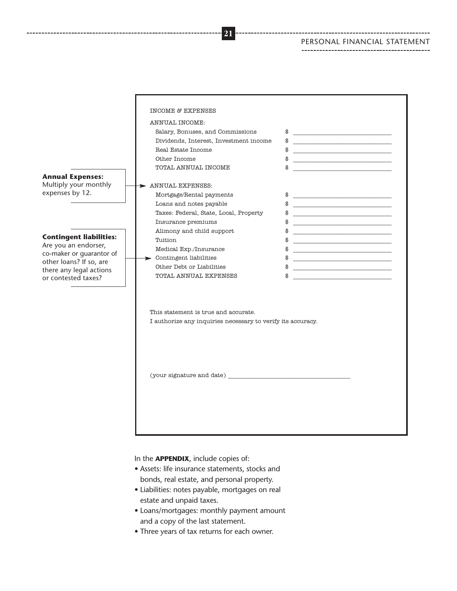#### PERSONAL FINANCIAL STATEMENT



In the **APPENDIX**, include copies of:

- Assets: life insurance statements, stocks and bonds, real estate, and personal property.
- Liabilities: notes payable, mortgages on real estate and unpaid taxes.
- Loans/mortgages: monthly payment amount and a copy of the last statement.
- Three years of tax returns for each owner.

**21**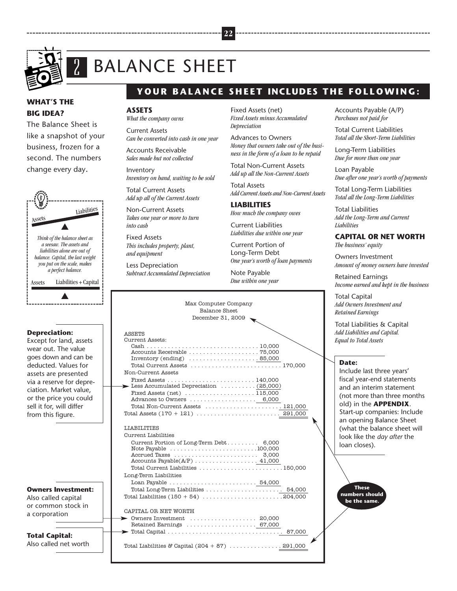

### BALANCE SHEET <u>ب</u><br>-

#### **WHAT'S THE BIG IDEA?**

The Balance Sheet is like a snapshot of your business, frozen for a second. The numbers change every day.



#### **Depreciation:**

Except for land, assets wear out. The value goes down and can be deducted. Values for assets are presented via a reserve for depreciation. Market value, or the price you could sell it for, will differ from this figure.

**Owners Investment:** Also called capital or common stock in

a corporation

**Total Capital:** Also called net worth

### YOUR BALANCE SHEET INCLUDES THE FOLLOWING:

#### **ASSETS**

*What the company owns*

Current Assets *Can be converted into cash in one year*

Accounts Receivable *Sales made but not collected*

Inventory *Inventory on hand, waiting to be sold*

Total Current Assets *Add up all of the Current Assets*

Non-Current Assets *Takes one year or more to turn into cash*

Fixed Assets *This includes property, plant, and equipment*

Less Depreciation *Subtract Accumulated Depreciation*

Fixed Assets (net) *Fixed Assets minus Accumulated Depreciation*

**22**

Advances to Owners *Money that owners take out of the business in the form of a loan to be repaid*

Total Non-Current Assets *Add up all the Non-Current Assets*

Total Assets *Add Current Assets and Non-Current Assets*

**LIABILITIES** *How much the company owes*

Current Liabilities *Liabilities due within one year*

Current Portion of Long-Term Debt *One year's worth of loan payments*

Note Payable *Due within one year* Accounts Payable (A/P) *Purchases not paid for*

Total Current Liabilities *Total all the Short-Term Liabilities*

Long-Term Liabilities *Due for more than one year*

Loan Payable *Due after one year's worth of payments*

Total Long-Term Liabilities *Total all the Long-Term Liabilities*

Total Liabilities *Add the Long-Term and Current Liabilities*

#### **CAPITAL OR NET WORTH** *The business' equity*

Owners Investment *Amount of money owners have invested*

Retained Earnings *Income earned and kept in the business*

Total Capital *Add Owners Investment and Retained Earnings*

Total Liabilities & Capital *Add Liabilities and Capital. Equal to Total Assets*

#### **Date:**

Include last three years' fiscal year-end statements and an interim statement (not more than three months old) in the **APPENDIX**. Start-up companies: Include an opening Balance Sheet (what the balance sheet will look like the *day after* the loan closes).

**These numbers should be the same.**

Max Computer Company Balance Sheet December 31, 2009 ASSETS Current Assets:<br>Cash . . . . . . . . . Cash . . . . . . . . . . . . . . . . . . . . . . . . . . . . . . . . 10,000 Accounts Receivable . . . . . . . . . . . . . . . . . . . . 75,000 Inventory (ending) . . . . . . . . . . . . . . . . . . . . 85,000 Total Current Assets . . . . . . . . . . . . . . . . . . . . . . . . . . 170,000 Non-Current Assets Fixed Assets . . . . . . . . . . . . . . . . . . . . . . . . . 140,000 Less Accumulated Depreciation . . . . . . . . . . (25,000 )Fixed Assets (net) . . . . . . . . . . . . . . . . . . . . 115,000 Advances to Owners . . . . . . . . . . . . . . . . . . . 6,000 Total Non-Current Assets . . . . . . . . . . . . . . . . . . . . . . 121,000 Total Assets (170 + 121) . . . . . . . . . . . . . . . . . . . . . . . . 291,000 LIABILITIES Current Liabilities Current Portion of Long-Term Debt. . . . . . . . . 6,000 Note Payable . . . . . . . . . . . . . . . . . . . . . . . . .100,000 Accrued Taxes . . . . . . . . . . . . . . . . . . . . . . . . 3,000 Accounts Payable(A/P) . . . . . . . . . . . . . . . . . . 41,000 Total Current Liabilities . . . . . . . . . . . . . . . . . . . . . . . .150,000 Long-Term Liabilities Loan Payable . . . . . . . . . . . . . . . . . . . . . . . . . 54,000 Total Long-Term Liabilities . . . . . . . . . . . . . . . . . . . . . . 54,000 Total Liabilities (150 + 54) . . . . . . . . . . . . . . . . . . . . . . . 204,000 CAPITAL OR NET WORTH Owners Investment . . . . . . . . . . . . . . . . . . . 20,000

Retained Earnings ...................... 67,000 Total Capital . . . . . . . . . . . . . . . . . . . . . . . . . . . . . . . . . 87,000 Total Liabilities & Capital  $(204 + 87)$  ................. 291,000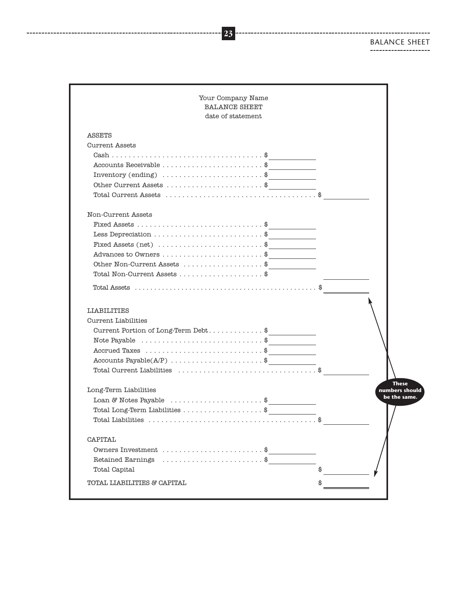BALANCE SHEET

| <b>BALANCE SHEET</b><br>date of statement                                                                                                                    |                                              |                                |
|--------------------------------------------------------------------------------------------------------------------------------------------------------------|----------------------------------------------|--------------------------------|
| <b>ASSETS</b>                                                                                                                                                |                                              |                                |
| Current Assets                                                                                                                                               |                                              |                                |
|                                                                                                                                                              |                                              |                                |
| Accounts Receivable $\dots\dots\dots\dots\dots\dots\dots\dots$                                                                                               |                                              |                                |
| Inventory (ending) $\ldots \ldots \ldots \ldots \ldots \ldots \quad$                                                                                         |                                              |                                |
| Other Current Assets \$                                                                                                                                      |                                              |                                |
|                                                                                                                                                              |                                              |                                |
| Non-Current Assets                                                                                                                                           |                                              |                                |
|                                                                                                                                                              |                                              |                                |
| Less Depreciation \$                                                                                                                                         | the control of the control of the control of |                                |
| Fixed Assets (net) $\dots\dots\dots\dots\dots\dots\dots$                                                                                                     |                                              |                                |
|                                                                                                                                                              |                                              |                                |
| Other Non-Current Assets \$                                                                                                                                  |                                              |                                |
| Total Non-Current Assets $\ldots$ ,,,,,,,,,,,,,,,,, $\frac{1}{3}$                                                                                            |                                              |                                |
|                                                                                                                                                              |                                              |                                |
| <b>LIABILITIES</b><br>Current Liabilities                                                                                                                    |                                              |                                |
| Note Payable $\dots\dots\dots\dots\dots\dots\dots\dots\dots$<br>Accrued Taxes \$                                                                             |                                              |                                |
| Accounts $Payable(A/P)$ \$                                                                                                                                   | the control of the control of the            |                                |
|                                                                                                                                                              |                                              |                                |
| Long-Term Liabilities                                                                                                                                        |                                              | <b>These</b>                   |
| Loan & Notes Payable $\ldots \ldots \ldots \ldots \ldots \ldots$                                                                                             |                                              |                                |
| $\textbf{Total Long-Term Liabilities} \; \ldots \; \ldots \; \ldots \; \ldots \; \ldots \; \textbf{.} \; \textbf{\texttt{\$}} \; \underline{\hspace{1.3cm}}$ |                                              | numbers should<br>be the same. |
| Total Liabilities                                                                                                                                            |                                              |                                |
| <b>CAPITAL</b>                                                                                                                                               |                                              |                                |
| Owners Investment \$                                                                                                                                         |                                              |                                |
| Retained Earnings \$                                                                                                                                         |                                              |                                |
| Total Capital                                                                                                                                                |                                              |                                |

**23**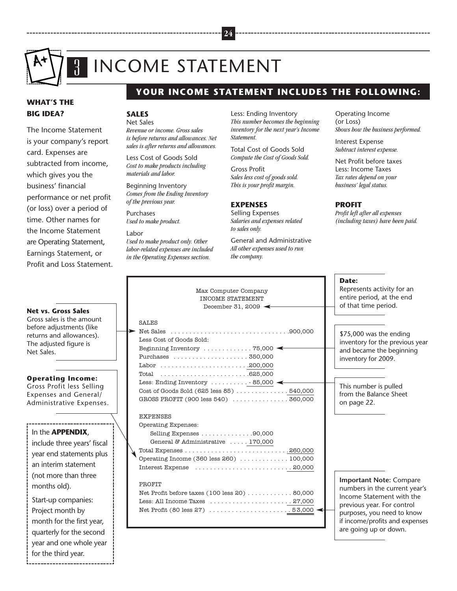

### INCOME STATEMENT  $\frac{1}{1}$

#### **WHAT'S THE BIG IDEA?**

The Income Statement is your company's report card. Expenses are subtracted from income, which gives you the business' financial performance or net profit (or loss) over a period of time. Other names for the Income Statement are Operating Statement, Earnings Statement, or Profit and Loss Statement.

#### **Net vs. Gross Sales** Gross sales is the amount before adjustments (like returns and allowances). The adjusted figure is Net Sales.

**Operating Income:** Gross Profit less Selling Expenses and General/ Administrative Expenses.

#### In the **APPENDIX**,

include three years' fiscal year end statements plus an interim statement (not more than three months old).

Start-up companies: Project month by month for the first year, quarterly for the second year and one whole year for the third year.

### **YOUR INCOME STATEMENT INCLUDES THE FOLLOWING:**

#### **SALES**

Net Sales

*Revenue or income. Gross sales is before returns and allowances. Net sales is after returns and allowances.*

Less Cost of Goods Sold *Cost to make products including materials and labor.*

Beginning Inventory *Comes from the Ending Inventory of the previous year.*

Purchases *Used to make product.*

Labor *Used to make product only. Other labor-related expenses are included in the Operating Expenses section.*

Less: Ending Inventory *This number becomes the beginning inventory for the next year's Income Statement.*

Total Cost of Goods Sold *Compute the Cost of Goods Sold.*

Gross Profit *Sales less cost of goods sold. This is your profit margin.*

#### **EXPENSES**

Selling Expenses *Salaries and expenses related to sales only.*

General and Administrative *All other expenses used to run the company.*

Operating Income (or Loss) *Shows how the business performed.*

Interest Expense *Subtract interest expense.*

Net Profit before taxes Less: Income Taxes *Tax rates depend on your business' legal status.*

#### **PROFIT**

*Profit left after all expenses (including taxes) have been paid.*

| Max Computer Company<br><b>INCOME STATEMENT</b><br>December 31, 2009 $\leftarrow$                                                                                                                                                             | Date:<br>Represents activity for an<br>entire period, at the end<br>of that time period.                                                                                       |
|-----------------------------------------------------------------------------------------------------------------------------------------------------------------------------------------------------------------------------------------------|--------------------------------------------------------------------------------------------------------------------------------------------------------------------------------|
| <b>SALES</b><br>Less Cost of Goods Sold:<br>Beginning Inventory $\dots \dots \dots \dots$ 75,000<br>Total $\ldots \ldots \ldots \ldots \ldots \ldots \ldots \ldots 625,000$                                                                   | \$75,000 was the ending<br>inventory for the previous<br>and became the beginnin<br>inventory for 2009.                                                                        |
| Less: Ending Inventory $\dots \dots \dots \dots$ 85,000<br>Cost of Goods Sold $(625 \text{ less } 85) \ldots \ldots \ldots \ldots 540,000$<br>GROSS PROFIT (900 less 540)  360,000                                                            | This number is pulled<br>from the Balance Sheet<br>on page 22.                                                                                                                 |
| <b>EXPENSES</b><br>Operating Expenses:<br>Selling Expenses 90,000<br>General & Administrative  170,000<br>Total Expenses $\ldots \ldots \ldots \ldots \ldots \ldots \ldots \ldots \ldots 260,000$<br>Operating Income (360 less 260)  100,000 |                                                                                                                                                                                |
| PROFIT<br>Net Profit before taxes $(100 \text{ less } 20) \ldots \ldots \ldots \ldots 80,000$<br>Less: All Income Taxes $\dots\dots\dots\dots\dots\dots\dots$ . 27,000                                                                        | <b>Important Note: Compa</b><br>numbers in the current ye<br>Income Statement with tl<br>previous year. For control<br>purposes, you need to kno<br>if income/profits and expe |

inventory for the previous year and became the beginning inventory for 2009.

**Important Note:** Compare numbers in the current year's Income Statement with the previous year. For control purposes, you need to know if income/profits and expenses are going up or down.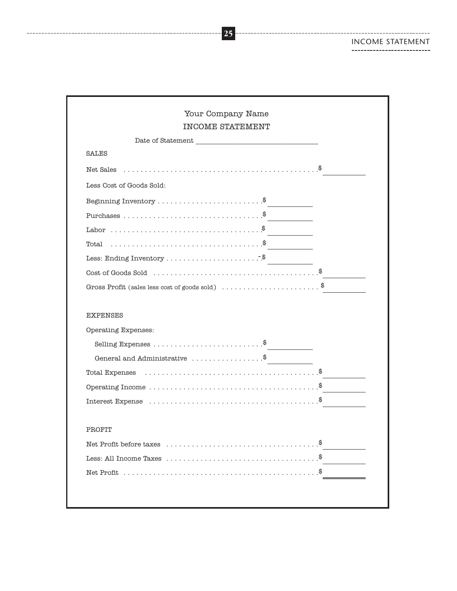#### INCOME STATEMENT--------------------------

. . . . . . . . . . . . . . . .

------------------------

| Your Company Name<br><b>INCOME STATEMENT</b>                                           |  |
|----------------------------------------------------------------------------------------|--|
|                                                                                        |  |
| <b>SALES</b>                                                                           |  |
| Net Sales $\dots\dots\dots\dots\dots\dots\dots\dots\dots\dots\dots\dots\dots\dots$ .   |  |
| Less Cost of Goods Sold:                                                               |  |
| Beginning Inventory $\dots\dots\dots\dots\dots\dots\dots$                              |  |
|                                                                                        |  |
|                                                                                        |  |
| Total $\dots\dots\dots\dots\dots\dots\dots\dots\dots\dots\dots$                        |  |
|                                                                                        |  |
|                                                                                        |  |
| Gross Profit (sales less cost of goods sold) $\ldots$ \$                               |  |
| <b>EXPENSES</b><br>Operating Expenses:                                                 |  |
|                                                                                        |  |
|                                                                                        |  |
|                                                                                        |  |
| Operating Income $\dots \dots \dots \dots \dots \dots \dots \dots \dots \dots \dots$ . |  |
|                                                                                        |  |
| PROFIT                                                                                 |  |
|                                                                                        |  |
|                                                                                        |  |
| Less: All Income Taxes $\dots\dots\dots\dots\dots\dots\dots\dots\dots\dots\dots\dots$  |  |

**25**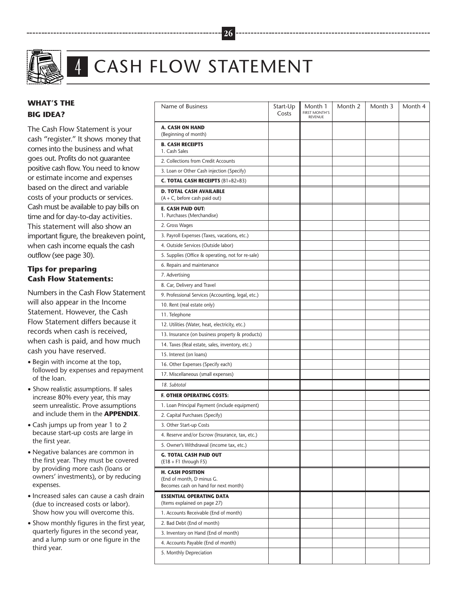

# CASH FLOW STATEMENT

**26**

#### **WHAT'S THE BIG IDEA?**

The Cash Flow Statement is your cash "register." It shows money that comes into the business and what goes out. Profits do not guarantee positive cash flow. You need to know or estimate income and expenses based on the direct and variable costs of your products or services. Cash must be available to pay bills on time and for day-to-day activities. This statement will also show an important figure, the breakeven point, when cash income equals the cash outflow (see page 30).

 $\frac{1}{1}$ 

#### **Tips for preparing Cash Flow Statements:**

Numbers in the Cash Flow Statement will also appear in the Income Statement. However, the Cash Flow Statement differs because it records when cash is received, when cash is paid, and how much cash you have reserved.

- Begin with income at the top, followed by expenses and repayment of the loan.
- Show realistic assumptions. If sales increase 80% every year, this may seem unrealistic. Prove assumptions and include them in the **APPENDIX**.
- Cash jumps up from year 1 to 2 because start-up costs are large in the first year.
- Negative balances are common in the first year. They must be covered by providing more cash (loans or owners' investments), or by reducing expenses.
- Increased sales can cause a cash drain (due to increased costs or labor). Show how you will overcome this.
- Show monthly figures in the first year, quarterly figures in the second year, and a lump sum or one figure in the third year.

| Name of Business                                                                             | Start-Up<br>Costs | Month 1<br><b>FIRST MONTH'S</b><br><b>RFVFNUF</b> | Month 2 | Month 3 | Month 4 |
|----------------------------------------------------------------------------------------------|-------------------|---------------------------------------------------|---------|---------|---------|
| A. CASH ON HAND<br>(Beginning of month)                                                      |                   |                                                   |         |         |         |
| <b>B. CASH RECEIPTS</b><br>1. Cash Sales                                                     |                   |                                                   |         |         |         |
| 2. Collections from Credit Accounts                                                          |                   |                                                   |         |         |         |
| 3. Loan or Other Cash injection (Specify)                                                    |                   |                                                   |         |         |         |
| <b>C. TOTAL CASH RECEIPTS (B1+B2+B3)</b>                                                     |                   |                                                   |         |         |         |
| <b>D. TOTAL CASH AVAILABLE</b><br>$(A + C, \text{before cash paid out})$                     |                   |                                                   |         |         |         |
| E. CASH PAID OUT:<br>1. Purchases (Merchandise)                                              |                   |                                                   |         |         |         |
| 2. Gross Wages                                                                               |                   |                                                   |         |         |         |
| 3. Payroll Expenses (Taxes, vacations, etc.)                                                 |                   |                                                   |         |         |         |
| 4. Outside Services (Outside labor)                                                          |                   |                                                   |         |         |         |
| 5. Supplies (Office & operating, not for re-sale)                                            |                   |                                                   |         |         |         |
| 6. Repairs and maintenance                                                                   |                   |                                                   |         |         |         |
| 7. Advertising                                                                               |                   |                                                   |         |         |         |
| 8. Car, Delivery and Travel                                                                  |                   |                                                   |         |         |         |
| 9. Professional Services (Accounting, legal, etc.)                                           |                   |                                                   |         |         |         |
| 10. Rent (real estate only)                                                                  |                   |                                                   |         |         |         |
| 11. Telephone                                                                                |                   |                                                   |         |         |         |
| 12. Utilities (Water, heat, electricity, etc.)                                               |                   |                                                   |         |         |         |
| 13. Insurance (on business property & products)                                              |                   |                                                   |         |         |         |
| 14. Taxes (Real estate, sales, inventory, etc.)                                              |                   |                                                   |         |         |         |
| 15. Interest (on loans)                                                                      |                   |                                                   |         |         |         |
| 16. Other Expenses (Specify each)                                                            |                   |                                                   |         |         |         |
| 17. Miscellaneous (small expenses)                                                           |                   |                                                   |         |         |         |
| 18. Subtotal                                                                                 |                   |                                                   |         |         |         |
| <b>F. OTHER OPERATING COSTS:</b>                                                             |                   |                                                   |         |         |         |
| 1. Loan Principal Payment (include equipment)                                                |                   |                                                   |         |         |         |
| 2. Capital Purchases (Specify)                                                               |                   |                                                   |         |         |         |
| 3. Other Start-up Costs                                                                      |                   |                                                   |         |         |         |
| 4. Reserve and/or Escrow (Insurance, tax, etc.)                                              |                   |                                                   |         |         |         |
| 5. Owner's Withdrawal (income tax, etc.)                                                     |                   |                                                   |         |         |         |
| <b>G. TOTAL CASH PAID OUT</b><br>$(E18 + F1$ through F5)                                     |                   |                                                   |         |         |         |
| <b>H. CASH POSITION</b><br>(End of month, D minus G.<br>Becomes cash on hand for next month) |                   |                                                   |         |         |         |
| <b>ESSENTIAL OPERATING DATA</b>                                                              |                   |                                                   |         |         |         |
| (Items explained on page 27)                                                                 |                   |                                                   |         |         |         |
| 1. Accounts Receivable (End of month)                                                        |                   |                                                   |         |         |         |
| 2. Bad Debt (End of month)                                                                   |                   |                                                   |         |         |         |
| 3. Inventory on Hand (End of month)                                                          |                   |                                                   |         |         |         |
| 4. Accounts Payable (End of month)                                                           |                   |                                                   |         |         |         |
| 5. Monthly Depreciation                                                                      |                   |                                                   |         |         |         |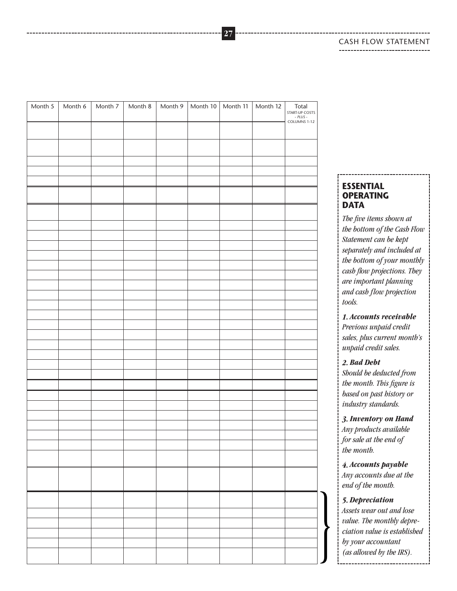#### CASH FLOW STATEMENT------------------------------

Month 5 | Month 6 | Month 7 | Month 8 | Month 9 | Month 10 | Month 11 | Month 12 | Total START-UP COSTS - *PLUS* - COLUMNS 1-12

#### **ESSENTIAL OPERATING DATA**

*The five items shown at the bottom of the Cash Flow Statement can be kept separately and included at the bottom of your monthly cash flow projections. They are important planning and cash flow projection tools.*

*1. Accounts receivable Previous unpaid credit sales, plus current month's unpaid credit sales.*

#### *2. Bad Debt*

*Should be deducted from the month. This figure is based on past history or industry standards.*

*3. Inventory on Hand Any products available for sale at the end of the month.*

*4. Accounts payable Any accounts due at the end of the month.*

#### *5. Depreciation*

*Assets wear out and lose value. The monthly depreciation value is established by your accountant (as allowed by the IRS).*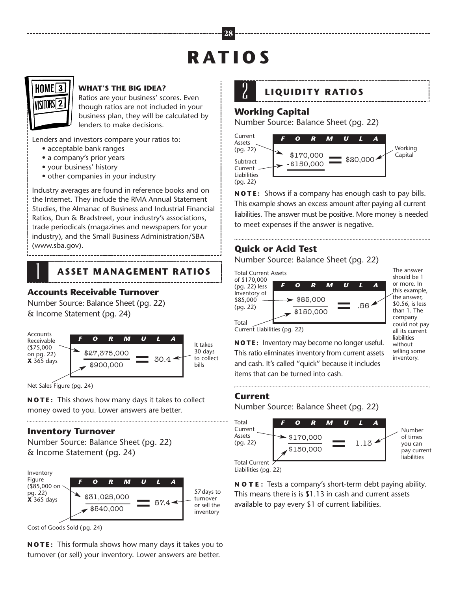# **R AT I O S**



#### **WHAT'S THE BIG IDEA?**

Ratios are your business' scores. Even though ratios are not included in your business plan, they will be calculated by lenders to make decisions.

Lenders and investors compare your ratios to:

- acceptable bank ranges
- a company's prior years
- your business' history
- other companies in your industry

Industry averages are found in reference books and on the Internet. They include the RMA Annual Statement Studies, the Almanac of Business and Industrial Financial Ratios, Dun & Bradstreet, your industry's associations, trade periodicals (magazines and newspapers for your industry), and the Small Business Administration/SBA (www.sba.gov).

### **ASSET MANAGEMENT RATIOS**

## **Accounts Receivable Turnover** 1

Number Source: Balance Sheet (pg. 22) & Income Statement (pg. 24)



Net Sales Figure (pg. 24)

**N O T E :** This shows how many days it takes to collect money owed to you. Lower answers are better.

#### **Inventory Turnover**

Number Source: Balance Sheet (pg. 22) & Income Statement (pg. 24)



Cost of Goods Sold (pg. 24)

**N O T E :** This formula shows how many days it takes you to turnover (or sell) your inventory. Lower answers are better.



### **LIQUIDITY RATIOS**

### **Working Capital** 2

Number Source: Balance Sheet (pg. 22)



**N O T E :** Shows if a company has enough cash to pay bills. This example shows an excess amount after paying all current liabilities. The answer must be positive. More money is needed to meet expenses if the answer is negative.

### **Quick or Acid Test**

Number Source: Balance Sheet (pg. 22)



The answer should be 1 or more. In this example, the answer, \$0.56, is less than 1. The company could not pay all its current liabilities without selling some

Current Liabilities (pg. 22)

\$27,375,000  $\phantom{0}30.4 \phantom{0}30$  days This ratio eliminates inventory from current assets selling sor inventory. **N O T E :** Inventory may become no longer useful. and cash. It's called "quick" because it includes items that can be turned into cash.

#### **Current**

Number Source: Balance Sheet (pg. 22)



Liabilities (pg. 22)

**N O T E :** Tests a company's short-term debt paying ability. This means there is is \$1.13 in cash and current assets available to pay every \$1 of current liabilities.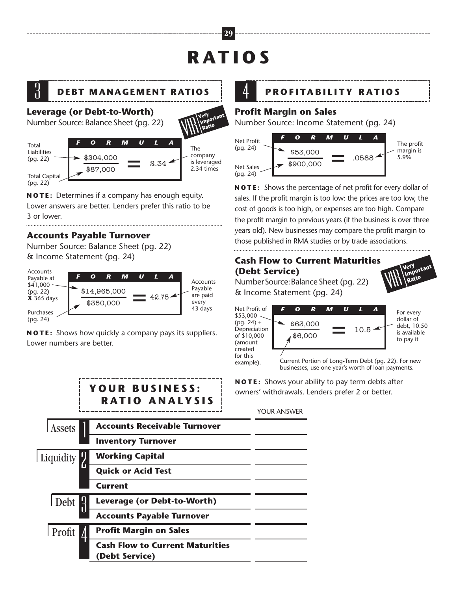# **R AT I O S**

**29**

**Important**



### **Leverage (or Debt-to-Worth)**

Number Source:Balance Sheet (pg. 22)



**N O T E :** Determines if a company has enough equity. Lower answers are better. Lenders prefer this ratio to be 3 or lower.

### **Accounts Payable Turnover**

Number Source: Balance Sheet (pg. 22) & Income Statement (pg. 24)



**N O T E :** Shows how quickly a company pays its suppliers. Lower numbers are better.



#### **Profit Margin on Sales**

Number Source: Income Statement (pg. 24)



**N O T E :** Shows the percentage of net profit for every dollar of sales. If the profit margin is too low: the prices are too low, the cost of goods is too high, or expenses are too high. Compare the profit margin to previous years (if the business is over three years old). New businesses may compare the profit margin to those published in RMA studies or by trade associations.

### **Cash Flow to Current Maturities (Debt Service)**

NumberSource:BalanceSheet (pg. 22) & Income Statement (pg. 24)



example). Current Portion of Long-Term Debt (pg. 22). For new businesses, use one year's worth of loan payments.

V<sub>IR</sub> Very<br>VIR Rat

**Important Ratio**

**N O T E :** Shows your ability to pay term debts after owners' withdrawals. Lenders prefer 2 or better.

YOUR ANSWER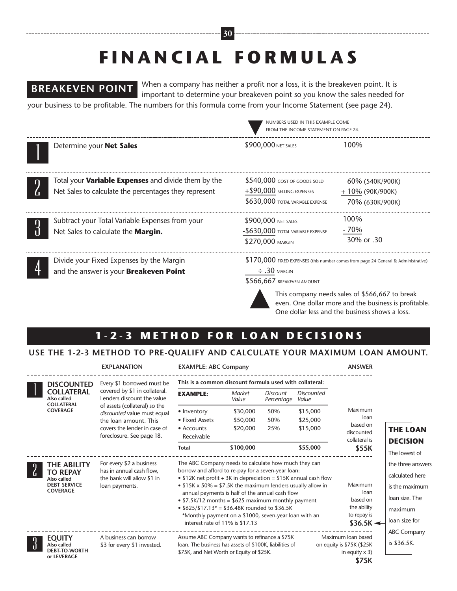# **F I N A N C I A L F O R M U L A S**

**30**

### **BREAKEVEN POINT**

When a company has neither a profit nor a loss, it is the breakeven point. It is important to determine your breakeven point so you know the sales needed for your business to be profitable. The numbers for this formula come from your Income Statement (see page 24).

|                                                                                                                     | NUMBERS USED IN THIS EXAMPLE COME<br>FROM THE INCOME STATEMENT ON PAGE 24.                         |                                                                                    |  |
|---------------------------------------------------------------------------------------------------------------------|----------------------------------------------------------------------------------------------------|------------------------------------------------------------------------------------|--|
| Determine your Net Sales                                                                                            | \$900,000 NET SALES                                                                                | 100%                                                                               |  |
| Total your <b>Variable Expenses</b> and divide them by the<br>Net Sales to calculate the percentages they represent | $$540,000$ cost of goods sold<br>$+$ \$90,000 SELLING EXPENSES<br>\$630,000 TOTAL VARIABLE EXPENSE | 60% (540K/900K)<br>+10% (90K/900K)<br>70% (630K/900K)                              |  |
| Subtract your Total Variable Expenses from your<br>Net Sales to calculate the Margin.                               | \$900,000 NET SALES<br>$-$630,000$ total variable expense<br>\$270,000 MARGIN                      | 100%<br>$-70%$<br>30% or 30                                                        |  |
| Divide your Fixed Expenses by the Margin<br>and the answer is your Breakeven Point                                  | $\div$ .30 margin<br>\$566,667 BREAKEVEN AMOUNT                                                    | \$170,000 FIXED EXPENSES (this number comes from page 24 General & Administrative) |  |



This company needs sales of \$566,667 to break even. One dollar more and the business is profitable. One dollar less and the business shows a loss.

### 1-2-3 METHOD FOR LOAN DECISIONS

#### **USE THE 1-2-3 METHOD TO PRE-QUALIFY AND CALCULATE YOUR MAXIMUM LOAN AMOUNT.**

**EXPLANATION EXAMPLE: ABC Company ANSWER**

|  | <b>DISCOUNTED</b><br><b>COLLATERAL</b><br>Also called<br><b>COLLATERAL</b><br><b>COVERAGE</b> | Every \$1 borrowed must be<br>covered by \$1 in collateral.<br>Lenders discount the value<br>of assets (collateral) so the<br>discounted value must equal<br>the loan amount. This<br>covers the lender in case of<br>foreclosure. See page 18. | This is a common discount formula used with collateral:                                                                                                                                                                                                                                                                                                                                                                                                                                                                                |                        |                               |                     |                                                                      |                    |
|--|-----------------------------------------------------------------------------------------------|-------------------------------------------------------------------------------------------------------------------------------------------------------------------------------------------------------------------------------------------------|----------------------------------------------------------------------------------------------------------------------------------------------------------------------------------------------------------------------------------------------------------------------------------------------------------------------------------------------------------------------------------------------------------------------------------------------------------------------------------------------------------------------------------------|------------------------|-------------------------------|---------------------|----------------------------------------------------------------------|--------------------|
|  |                                                                                               |                                                                                                                                                                                                                                                 | <b>EXAMPLE:</b>                                                                                                                                                                                                                                                                                                                                                                                                                                                                                                                        | <b>Market</b><br>Value | <b>Discount</b><br>Percentage | Discounted<br>Value |                                                                      |                    |
|  |                                                                                               |                                                                                                                                                                                                                                                 | • Inventory                                                                                                                                                                                                                                                                                                                                                                                                                                                                                                                            | \$30,000               | 50%                           | \$15,000            | Maximum<br>loan<br>based on<br>discounted                            |                    |
|  |                                                                                               |                                                                                                                                                                                                                                                 | • Fixed Assets                                                                                                                                                                                                                                                                                                                                                                                                                                                                                                                         | \$50,000               | 50%                           | \$25,000            |                                                                      |                    |
|  |                                                                                               |                                                                                                                                                                                                                                                 | • Accounts<br>Receivable                                                                                                                                                                                                                                                                                                                                                                                                                                                                                                               | \$20,000               | 25%                           | \$15,000            |                                                                      | <b>THE LOAN</b>    |
|  |                                                                                               |                                                                                                                                                                                                                                                 |                                                                                                                                                                                                                                                                                                                                                                                                                                                                                                                                        |                        |                               |                     | collateral is                                                        | <b>DECISION</b>    |
|  |                                                                                               |                                                                                                                                                                                                                                                 | <b>Total</b>                                                                                                                                                                                                                                                                                                                                                                                                                                                                                                                           | \$100,000              |                               | \$55,000            | \$55K                                                                | The lowest of      |
|  | THE ABILITY<br><b>TO REPAY</b><br>Also called<br><b>DEBT SERVICE</b><br><b>COVERAGE</b>       | For every \$2 a business<br>has in annual cash flow,<br>the bank will allow \$1 in<br>loan payments.                                                                                                                                            | The ABC Company needs to calculate how much they can<br>borrow and afford to re-pay for a seven-year loan:<br>• \$12K net profit + 3K in depreciation = \$15K annual cash flow<br>Maximum<br>• $$15K \times 50\% = $7.5K$ the maximum lenders usually allow in<br>loan<br>annual payments is half of the annual cash flow<br>based on<br>• $$7.5K/12$ months = $$625$ maximum monthly payment<br>the ability<br>• $$625/\$17.13* = $36.48K$ rounded to \$36.5K<br>*Monthly payment on a \$1000, seven-year loan with an<br>to repay is |                        |                               |                     |                                                                      | the three answers  |
|  |                                                                                               |                                                                                                                                                                                                                                                 |                                                                                                                                                                                                                                                                                                                                                                                                                                                                                                                                        |                        |                               |                     |                                                                      | calculated here    |
|  |                                                                                               |                                                                                                                                                                                                                                                 |                                                                                                                                                                                                                                                                                                                                                                                                                                                                                                                                        |                        |                               |                     |                                                                      | is the maximum     |
|  |                                                                                               |                                                                                                                                                                                                                                                 |                                                                                                                                                                                                                                                                                                                                                                                                                                                                                                                                        |                        |                               |                     |                                                                      | loan size. The     |
|  |                                                                                               |                                                                                                                                                                                                                                                 |                                                                                                                                                                                                                                                                                                                                                                                                                                                                                                                                        |                        |                               |                     |                                                                      | maximum            |
|  |                                                                                               |                                                                                                                                                                                                                                                 | interest rate of 11% is \$17.13                                                                                                                                                                                                                                                                                                                                                                                                                                                                                                        |                        |                               |                     | $$36.5K \leftarrow$                                                  | loan size for      |
|  |                                                                                               |                                                                                                                                                                                                                                                 |                                                                                                                                                                                                                                                                                                                                                                                                                                                                                                                                        |                        |                               |                     |                                                                      | <b>ABC Company</b> |
|  | <b>EQUITY</b><br>Also called<br><b>DEBT-TO-WORTH</b>                                          | A business can borrow<br>\$3 for every \$1 invested.                                                                                                                                                                                            | Assume ABC Company wants to refinance a \$75K<br>loan. The business has assets of \$100K, liabilities of<br>\$75K, and Net Worth or Equity of \$25K.                                                                                                                                                                                                                                                                                                                                                                                   |                        |                               |                     | Maximum Ioan based<br>on equity is \$75K (\$25K)<br>in equity $x$ 3) | is \$36.5K.        |
|  | or LEVERAGE                                                                                   |                                                                                                                                                                                                                                                 | \$75K                                                                                                                                                                                                                                                                                                                                                                                                                                                                                                                                  |                        |                               |                     |                                                                      |                    |